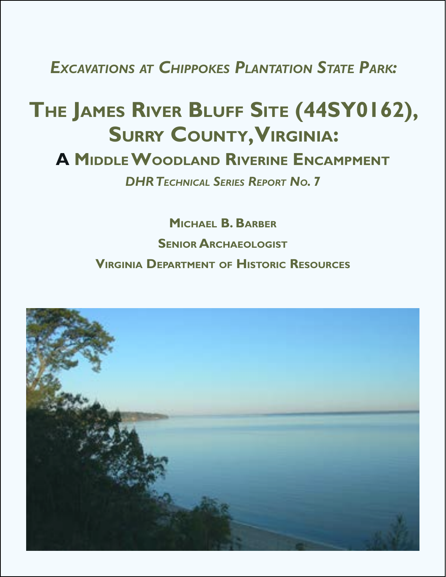*Excavations at Chippokes Plantation State Park:*

# **The James River Bluff Site (44SY0162), Surry County, Virginia:**

## **A Middle Woodland Riverine Encampment**

*DHRTechnical Series Report No. 7*

**Michael B. Barber Senior Archaeologist Virginia Department of Historic Resources**

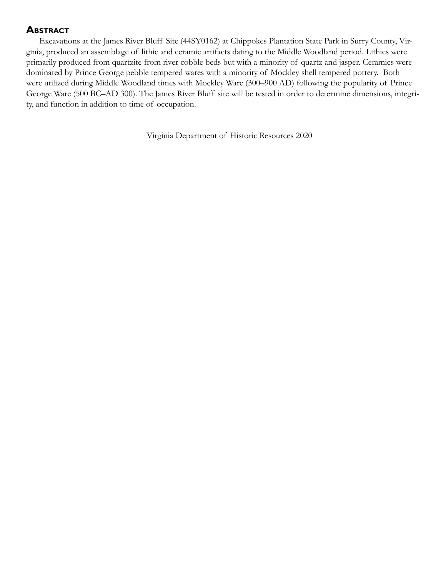## **Abstract**

Excavations at the James River Bluff Site (44SY0162) at Chippokes Plantation State Park in Surry County, Virginia, produced an assemblage of lithic and ceramic artifacts dating to the Middle Woodland period. Lithics were primarily produced from quartzite from river cobble beds but with a minority of quartz and jasper. Ceramics were dominated by Prince George pebble tempered wares with a minority of Mockley shell tempered pottery. Both were utilized during Middle Woodland times with Mockley Ware (300–900 AD) following the popularity of Prince George Ware (500 BC–AD 300). The James River Bluff site will be tested in order to determine dimensions, integrity, and function in addition to time of occupation.

Virginia Department of Historic Resources 2020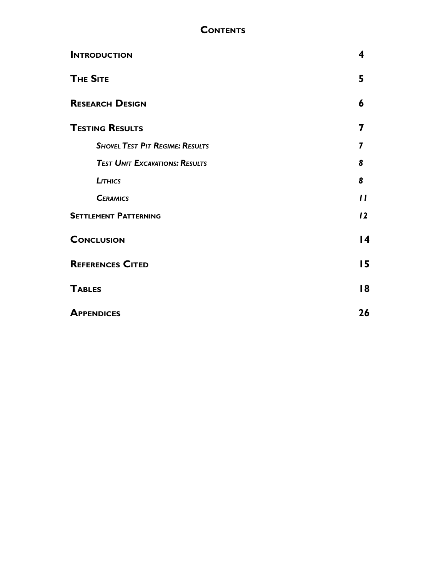## **Contents**

| <b>INTRODUCTION</b>                    | 4               |
|----------------------------------------|-----------------|
| <b>THE SITE</b>                        | 5               |
| <b>RESEARCH DESIGN</b>                 | 6               |
| <b>TESTING RESULTS</b>                 | 7               |
| <b>SHOVEL TEST PIT REGIME: RESULTS</b> |                 |
| <b>TEST UNIT EXCAVATIONS: RESULTS</b>  | 8               |
| LITHICS                                | 8               |
| <b>CERAMICS</b>                        | $\mathbf{I}$    |
| <b>SETTLEMENT PATTERNING</b>           | 12              |
| <b>CONCLUSION</b>                      | $\overline{14}$ |
| <b>REFERENCES CITED</b>                | 15              |
| <b>TABLES</b>                          | 18              |
| <b>APPENDICES</b>                      | 26              |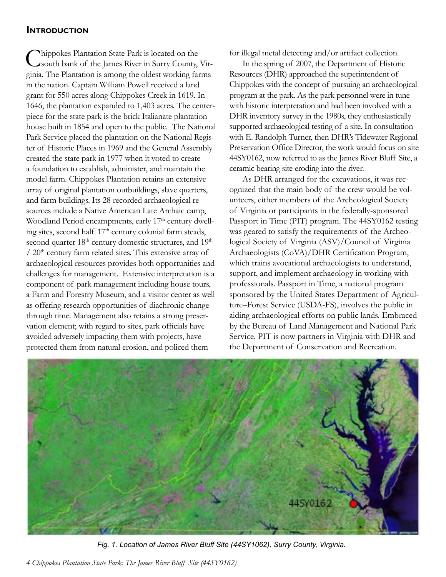## <span id="page-3-0"></span>**Introduction**

Chippokes Plantation State Park is located on the South bank of the James River in Surry County, Virginia. The Plantation is among the oldest working farms in the nation. Captain William Powell received a land grant for 550 acres along Chippokes Creek in 1619. In 1646, the plantation expanded to 1,403 acres. The centerpiece for the state park is the brick Italianate plantation house built in 1854 and open to the public. The National Park Service placed the plantation on the National Register of Historic Places in 1969 and the General Assembly created the state park in 1977 when it voted to create a foundation to establish, administer, and maintain the model farm. Chippokes Plantation retains an extensive array of original plantation outbuildings, slave quarters, and farm buildings. Its 28 recorded archaeological resources include a Native American Late Archaic camp, Woodland Period encampments, early 17<sup>th</sup> century dwelling sites, second half  $17<sup>th</sup>$  century colonial farm steads, second quarter 18<sup>th</sup> century domestic structures, and 19<sup>th</sup>  $/ 20<sup>th</sup>$  century farm related sites. This extensive array of archaeological resources provides both opportunities and challenges for management. Extensive interpretation is a component of park management including house tours, a Farm and Forestry Museum, and a visitor center as well as offering research opportunities of diachronic change through time. Management also retains a strong preservation element; with regard to sites, park officials have avoided adversely impacting them with projects, have protected them from natural erosion, and policed them

for illegal metal detecting and/or artifact collection.

In the spring of 2007, the Department of Historic Resources (DHR) approached the superintendent of Chippokes with the concept of pursuing an archaeological program at the park. As the park personnel were in tune with historic interpretation and had been involved with a DHR inventory survey in the 1980s, they enthusiastically supported archaeological testing of a site. In consultation with E. Randolph Turner, then DHR's Tidewater Regional Preservation Office Director, the work would focus on site 44SY0162, now referred to as the James River Bluff Site, a ceramic bearing site eroding into the river.

As DHR arranged for the excavations, it was recognized that the main body of the crew would be volunteers, either members of the Archeological Society of Virginia or participants in the federally-sponsored Passport in Time (PIT) program. The 44SY0162 testing was geared to satisfy the requirements of the Archeological Society of Virginia (ASV)/Council of Virginia Archaeologists (CoVA)/DHR Certification Program, which trains avocational archaeologists to understand, support, and implement archaeology in working with professionals. Passport in Time, a national program sponsored by the United States Department of Agriculture–Forest Service (USDA-FS), involves the public in aiding archaeological efforts on public lands. Embraced by the Bureau of Land Management and National Park Service, PIT is now partners in Virginia with DHR and the Department of Conservation and Recreation.



*Fig. 1. Location of James River Bluff Site (44SY1062), Surry County, Virginia.*

*4 Chippokes Plantation State Park: The James River Bluff Site (44SY0162)*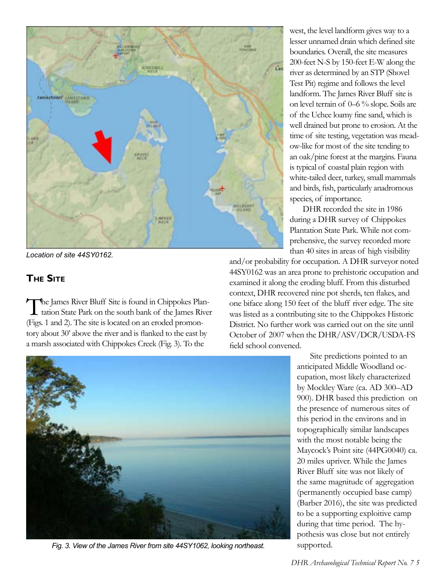<span id="page-4-0"></span>

*Location of site 44SY0162.*

## **The Site**

The James River Bluff Site is found in Chippokes Plan-<br>tation State Park on the south bank of the James River (Figs. 1 and 2). The site is located on an eroded promontory about 30' above the river and is flanked to the east by a marsh associated with Chippokes Creek (Fig. 3). To the



*Fig. 3. View of the James River from site 44SY1062, looking northeast.* supported.

west, the level landform gives way to a lesser unnamed drain which defined site boundaries. Overall, the site measures 200-feet N-S by 150-feet E-W along the river as determined by an STP (Shovel Test Pit) regime and follows the level landform. The James River Bluff site is on level terrain of 0–6 % slope. Soils are of the Uchee loamy fine sand, which is well drained but prone to erosion. At the time of site testing, vegetation was meadow-like for most of the site tending to an oak/pine forest at the margins. Fauna is typical of coastal plain region with white-tailed deer, turkey, small mammals and birds, fish, particularly anadromous species, of importance.

DHR recorded the site in 1986 during a DHR survey of Chippokes Plantation State Park. While not comprehensive, the survey recorded more than 40 sites in areas of high visibility

and/or probability for occupation. A DHR surveyor noted 44SY0162 was an area prone to prehistoric occupation and examined it along the eroding bluff. From this disturbed context, DHR recovered nine pot sherds, ten flakes, and one biface along 150 feet of the bluff river edge. The site was listed as a contributing site to the Chippokes Historic District. No further work was carried out on the site until October of 2007 when the DHR/ASV/DCR/USDA-FS field school convened.

> Site predictions pointed to an anticipated Middle Woodland occupation, most likely characterized by Mockley Ware (ca. AD 300–AD 900). DHR based this prediction on the presence of numerous sites of this period in the environs and in topographically similar landscapes with the most notable being the Maycock's Point site (44PG0040) ca. 20 miles upriver. While the James River Bluff site was not likely of the same magnitude of aggregation (permanently occupied base camp) (Barber 2016), the site was predicted to be a supporting exploitive camp during that time period. The hypothesis was close but not entirely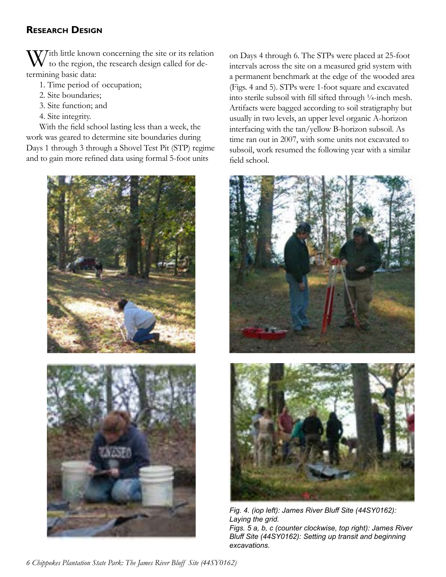## <span id="page-5-0"></span>**Research Design**

 $\mathcal{J}$  Tith little known concerning the site or its relation to the region, the research design called for determining basic data:

- 1. Time period of occupation;
- 2. Site boundaries;
- 3. Site function; and
- 4. Site integrity.

With the field school lasting less than a week, the work was geared to determine site boundaries during Days 1 through 3 through a Shovel Test Pit (STP) regime and to gain more refined data using formal 5-foot units



on Days 4 through 6. The STPs were placed at 25-foot intervals across the site on a measured grid system with a permanent benchmark at the edge of the wooded area (Figs. 4 and 5). STPs were 1-foot square and excavated into sterile subsoil with fill sifted through ¼-inch mesh. Artifacts were bagged according to soil stratigraphy but usually in two levels, an upper level organic A-horizon interfacing with the tan/yellow B-horizon subsoil. As time ran out in 2007, with some units not excavated to subsoil, work resumed the following year with a similar field school.



*Fig. 4. (iop left): James River Bluff Site (44SY0162): Laying the grid. Figs. 5 a, b, c (counter clockwise, top right): James River Bluff Site (44SY0162): Setting up transit and beginning excavations.*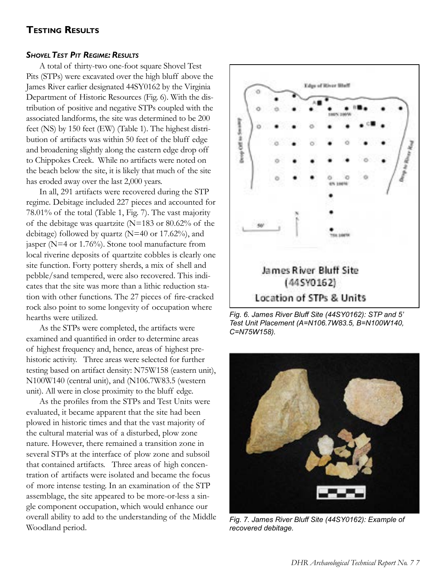## <span id="page-6-0"></span>**Testing Results**

#### *ShovelTest Pit Regime: Results*

A total of thirty-two one-foot square Shovel Test Pits (STPs) were excavated over the high bluff above the James River earlier designated 44SY0162 by the Virginia Department of Historic Resources (Fig. 6). With the distribution of positive and negative STPs coupled with the associated landforms, the site was determined to be 200 feet (NS) by 150 feet (EW) (Table 1). The highest distribution of artifacts was within 50 feet of the bluff edge and broadening slightly along the eastern edge drop off to Chippokes Creek. While no artifacts were noted on the beach below the site, it is likely that much of the site has eroded away over the last 2,000 years.

In all, 291 artifacts were recovered during the STP regime. Debitage included 227 pieces and accounted for 78.01% of the total (Table 1, Fig. 7). The vast majority of the debitage was quartzite (N=183 or 80.62% of the debitage) followed by quartz ( $N=40$  or 17.62%), and jasper (N=4 or 1.76%). Stone tool manufacture from local riverine deposits of quartzite cobbles is clearly one site function. Forty pottery sherds, a mix of shell and pebble/sand tempered, were also recovered. This indicates that the site was more than a lithic reduction station with other functions. The 27 pieces of fire-cracked rock also point to some longevity of occupation where hearths were utilized.

As the STPs were completed, the artifacts were examined and quantified in order to determine areas of highest frequency and, hence, areas of highest prehistoric activity. Three areas were selected for further testing based on artifact density: N75W158 (eastern unit), N100W140 (central unit), and (N106.7W83.5 (western unit). All were in close proximity to the bluff edge.

As the profiles from the STPs and Test Units were evaluated, it became apparent that the site had been plowed in historic times and that the vast majority of the cultural material was of a disturbed, plow zone nature. However, there remained a transition zone in several STPs at the interface of plow zone and subsoil that contained artifacts. Three areas of high concentration of artifacts were isolated and became the focus of more intense testing. In an examination of the STP assemblage, the site appeared to be more-or-less a single component occupation, which would enhance our overall ability to add to the understanding of the Middle Woodland period.



*Fig. 6. James River Bluff Site (44SY0162): STP and 5' Test Unit Placement (A=N106.7W83.5, B=N100W140, C=N75W158).*



*Fig. 7. James River Bluff Site (44SY0162): Example of recovered debitage.*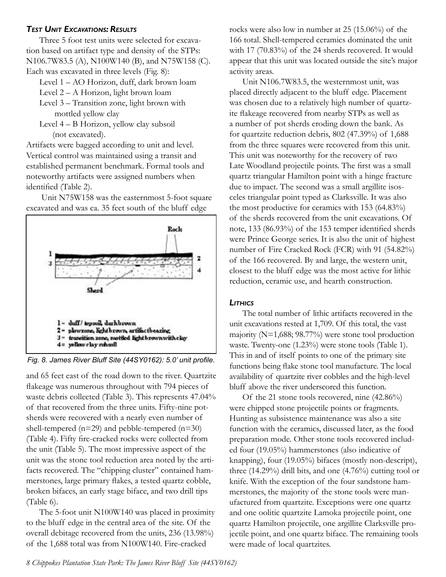#### <span id="page-7-0"></span>*Test Unit Excavations: Results*

Three 5 foot test units were selected for excavation based on artifact type and density of the STPs: N106.7W83.5 (A), N100W140 (B), and N75W158 (C). Each was excavated in three levels (Fig. 8):

Level 1 – AO Horizon, duff, dark brown loam

Level 2 – A Horizon, light brown loam

Level 3 – Transition zone, light brown with mottled yellow clay

Level 4 – B Horizon, yellow clay subsoil (not excavated).

Artifacts were bagged according to unit and level. Vertical control was maintained using a transit and established permanent benchmark. Formal tools and noteworthy artifacts were assigned numbers when identified (Table 2).

 Unit N75W158 was the easternmost 5-foot square excavated and was ca. 35 feet south of the bluff edge



*Fig. 8. James River Bluff Site (44SY0162): 5.0' unit profile.*

and 65 feet east of the road down to the river. Quartzite flakeage was numerous throughout with 794 pieces of waste debris collected (Table 3). This represents 47.04% of that recovered from the three units. Fifty-nine potsherds were recovered with a nearly even number of shell-tempered ( $n=29$ ) and pebble-tempered ( $n=30$ ) (Table 4). Fifty fire-cracked rocks were collected from the unit (Table 5). The most impressive aspect of the unit was the stone tool reduction area noted by the artifacts recovered. The "chipping cluster" contained hammerstones, large primary flakes, a tested quartz cobble, broken bifaces, an early stage biface, and two drill tips (Table 6).

The 5-foot unit N100W140 was placed in proximity to the bluff edge in the central area of the site. Of the overall debitage recovered from the units, 236 (13.98%) of the 1,688 total was from N100W140. Fire-cracked

rocks were also low in number at 25 (15.06%) of the 166 total. Shell-tempered ceramics dominated the unit with 17 (70.83%) of the 24 sherds recovered. It would appear that this unit was located outside the site's major activity areas.

Unit N106.7W83.5, the westernmost unit, was placed directly adjacent to the bluff edge. Placement was chosen due to a relatively high number of quartzite flakeage recovered from nearby STPs as well as a number of pot sherds eroding down the bank. As for quartzite reduction debris, 802 (47.39%) of 1,688 from the three squares were recovered from this unit. This unit was noteworthy for the recovery of two Late Woodland projectile points. The first was a small quartz triangular Hamilton point with a hinge fracture due to impact. The second was a small argillite isosceles triangular point typed as Clarksville. It was also the most productive for ceramics with 153 (64.83%) of the sherds recovered from the unit excavations. Of note, 133 (86.93%) of the 153 temper identified sherds were Prince George series. It is also the unit of highest number of Fire Cracked Rock (FCR) with 91 (54.82%) of the 166 recovered. By and large, the western unit, closest to the bluff edge was the most active for lithic reduction, ceramic use, and hearth construction.

#### *Lithics*

The total number of lithic artifacts recovered in the unit excavations rested at 1,709. Of this total, the vast majority (N=1,688; 98.77%) were stone tool production waste. Twenty-one (1.23%) were stone tools (Table 1). This in and of itself points to one of the primary site functions being flake stone tool manufacture. The local availability of quartzite river cobbles and the high-level bluff above the river underscored this function.

Of the 21 stone tools recovered, nine (42.86%) were chipped stone projectile points or fragments. Hunting as subsistence maintenance was also a site function with the ceramics, discussed later, as the food preparation mode. Other stone tools recovered included four (19.05%) hammerstones (also indicative of knapping), four (19.05%) bifaces (mostly non-descript), three (14.29%) drill bits, and one (4.76%) cutting tool or knife. With the exception of the four sandstone hammerstones, the majority of the stone tools were manufactured from quartzite. Exceptions were one quartz and one oolitic quartzite Lamoka projectile point, one quartz Hamilton projectile, one argillite Clarksville projectile point, and one quartz biface. The remaining tools were made of local quartzites.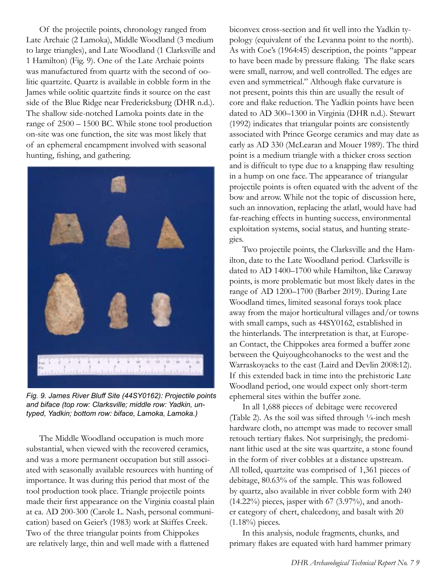Of the projectile points, chronology ranged from Late Archaic (2 Lamoka), Middle Woodland (3 medium to large triangles), and Late Woodland (1 Clarksville and 1 Hamilton) (Fig. 9). One of the Late Archaic points was manufactured from quartz with the second of oolitic quartzite. Quartz is available in cobble form in the James while oolitic quartzite finds it source on the east side of the Blue Ridge near Fredericksburg (DHR n.d.). The shallow side-notched Lamoka points date in the range of 2500 – 1500 BC. While stone tool production on-site was one function, the site was most likely that of an ephemeral encampment involved with seasonal hunting, fishing, and gathering.



*Fig. 9. James River Bluff Site (44SY0162): Projectile points and biface (top row: Clarksville; middle row: Yadkin, untyped, Yadkin; bottom row: biface, Lamoka, Lamoka.)*

The Middle Woodland occupation is much more substantial, when viewed with the recovered ceramics, and was a more permanent occupation but still associated with seasonally available resources with hunting of importance. It was during this period that most of the tool production took place. Triangle projectile points made their first appearance on the Virginia coastal plain at ca. AD 200-300 (Carole L. Nash, personal communication) based on Geier's (1983) work at Skiffes Creek. Two of the three triangular points from Chippokes are relatively large, thin and well made with a flattened

biconvex cross-section and fit well into the Yadkin typology (equivalent of the Levanna point to the north). As with Coe's (1964:45) description, the points "appear to have been made by pressure flaking. The flake scars were small, narrow, and well controlled. The edges are even and symmetrical." Although flake curvature is not present, points this thin are usually the result of core and flake reduction. The Yadkin points have been dated to AD 300–1300 in Virginia (DHR n.d.). Stewart (1992) indicates that triangular points are consistently associated with Prince George ceramics and may date as early as AD 330 (McLearan and Mouer 1989). The third point is a medium triangle with a thicker cross section and is difficult to type due to a knapping flaw resulting in a hump on one face. The appearance of triangular projectile points is often equated with the advent of the bow and arrow. While not the topic of discussion here, such an innovation, replacing the atlatl, would have had far-reaching effects in hunting success, environmental exploitation systems, social status, and hunting strategies.

Two projectile points, the Clarksville and the Hamilton, date to the Late Woodland period. Clarksville is dated to AD 1400–1700 while Hamilton, like Caraway points, is more problematic but most likely dates in the range of AD 1200–1700 (Barber 2019). During Late Woodland times, limited seasonal forays took place away from the major horticultural villages and/or towns with small camps, such as 44SY0162, established in the hinterlands. The interpretation is that, at European Contact, the Chippokes area formed a buffer zone between the Quiyoughcohanocks to the west and the Warraskoyacks to the east (Laird and Devlin 2008:12). If this extended back in time into the prehistoric Late Woodland period, one would expect only short-term ephemeral sites within the buffer zone.

In all 1,688 pieces of debitage were recovered (Table 2). As the soil was sifted through  $\frac{1}{4}$ -inch mesh hardware cloth, no attempt was made to recover small retouch tertiary flakes. Not surprisingly, the predominant lithic used at the site was quartzite, a stone found in the form of river cobbles at a distance upstream. All tolled, quartzite was comprised of 1,361 pieces of debitage, 80.63% of the sample. This was followed by quartz, also available in river cobble form with 240  $(14.22\%)$  pieces, jasper with 67  $(3.97\%)$ , and another category of chert, chalcedony, and basalt with 20  $(1.18\%)$  pieces.

In this analysis, nodule fragments, chunks, and primary flakes are equated with hard hammer primary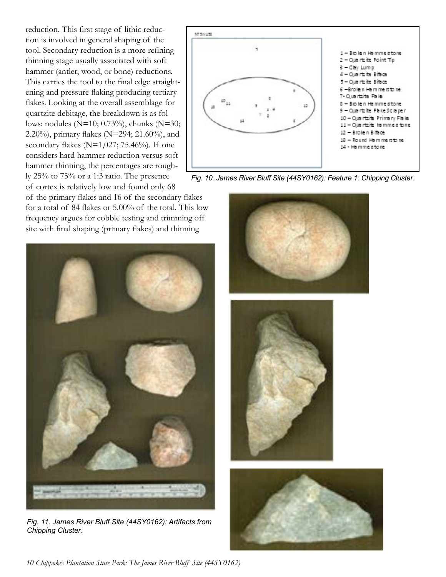reduction. This first stage of lithic reduction is involved in general shaping of the tool. Secondary reduction is a more refining thinning stage usually associated with soft hammer (antler, wood, or bone) reductions. This carries the tool to the final edge straightening and pressure flaking producing tertiary flakes. Looking at the overall assemblage for quartzite debitage, the breakdown is as follows: nodules (N=10; 0.73%), chunks (N=30; 2.20%), primary flakes (N=294; 21.60%), and secondary flakes ( $N=1,027; 75.46\%$ ). If one considers hard hammer reduction versus soft hammer thinning, the percentages are roughly 25% to 75% or a 1:3 ratio. The presence of cortex is relatively low and found only 68

of the primary flakes and 16 of the secondary flakes for a total of 84 flakes or 5.00% of the total. This low frequency argues for cobble testing and trimming off site with final shaping (primary flakes) and thinning



*Fig. 11. James River Bluff Site (44SY0162): Artifacts from Chipping Cluster.*



*Fig. 10. James River Bluff Site (44SY0162): Feature 1: Chipping Cluster.*



*10 Chippokes Plantation State Park: The James River Bluff Site (44SY0162)*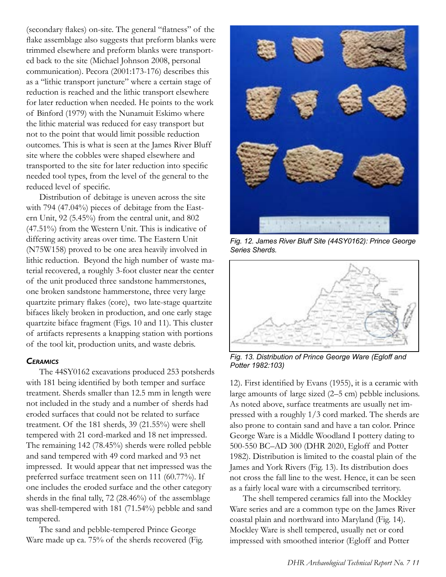<span id="page-10-0"></span>(secondary flakes) on-site. The general "flatness" of the flake assemblage also suggests that preform blanks were trimmed elsewhere and preform blanks were transported back to the site (Michael Johnson 2008, personal communication). Pecora (2001:173-176) describes this as a "lithic transport juncture" where a certain stage of reduction is reached and the lithic transport elsewhere for later reduction when needed. He points to the work of Binford (1979) with the Nunamuit Eskimo where the lithic material was reduced for easy transport but not to the point that would limit possible reduction outcomes. This is what is seen at the James River Bluff site where the cobbles were shaped elsewhere and transported to the site for later reduction into specific needed tool types, from the level of the general to the reduced level of specific.

Distribution of debitage is uneven across the site with 794 (47.04%) pieces of debitage from the Eastern Unit, 92 (5.45%) from the central unit, and 802 (47.51%) from the Western Unit. This is indicative of differing activity areas over time. The Eastern Unit (N75W158) proved to be one area heavily involved in lithic reduction. Beyond the high number of waste material recovered, a roughly 3-foot cluster near the center of the unit produced three sandstone hammerstones, one broken sandstone hammerstone, three very large quartzite primary flakes (core), two late-stage quartzite bifaces likely broken in production, and one early stage quartzite biface fragment (Figs. 10 and 11). This cluster of artifacts represents a knapping station with portions of the tool kit, production units, and waste debris.

#### *Ceramics*

The 44SY0162 excavations produced 253 potsherds with 181 being identified by both temper and surface treatment. Sherds smaller than 12.5 mm in length were not included in the study and a number of sherds had eroded surfaces that could not be related to surface treatment. Of the 181 sherds, 39 (21.55%) were shell tempered with 21 cord-marked and 18 net impressed. The remaining 142 (78.45%) sherds were rolled pebble and sand tempered with 49 cord marked and 93 net impressed. It would appear that net impressed was the preferred surface treatment seen on 111 (60.77%). If one includes the eroded surface and the other category sherds in the final tally, 72 (28.46%) of the assemblage was shell-tempered with 181 (71.54%) pebble and sand tempered.

The sand and pebble-tempered Prince George Ware made up ca. 75% of the sherds recovered (Fig.



*Fig. 12. James River Bluff Site (44SY0162): Prince George Series Sherds.*



*Fig. 13. Distribution of Prince George Ware (Egloff and Potter 1982:103)*

12). First identified by Evans (1955), it is a ceramic with large amounts of large sized (2–5 cm) pebble inclusions. As noted above, surface treatments are usually net impressed with a roughly 1/3 cord marked. The sherds are also prone to contain sand and have a tan color. Prince George Ware is a Middle Woodland I pottery dating to 500-550 BC–AD 300 (DHR 2020, Egloff and Potter 1982). Distribution is limited to the coastal plain of the James and York Rivers (Fig. 13). Its distribution does not cross the fall line to the west. Hence, it can be seen as a fairly local ware with a circumscribed territory.

The shell tempered ceramics fall into the Mockley Ware series and are a common type on the James River coastal plain and northward into Maryland (Fig. 14). Mockley Ware is shell tempered, usually net or cord impressed with smoothed interior (Egloff and Potter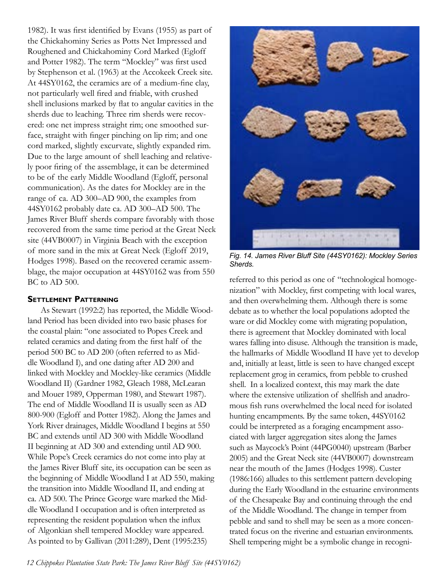<span id="page-11-0"></span>1982). It was first identified by Evans (1955) as part of the Chickahominy Series as Potts Net Impressed and Roughened and Chickahominy Cord Marked (Egloff and Potter 1982). The term "Mockley" was first used by Stephenson et al. (1963) at the Accokeek Creek site. At 44SY0162, the ceramics are of a medium-fine clay, not particularly well fired and friable, with crushed shell inclusions marked by flat to angular cavities in the sherds due to leaching. Three rim sherds were recovered: one net impress straight rim; one smoothed surface, straight with finger pinching on lip rim; and one cord marked, slightly excurvate, slightly expanded rim. Due to the large amount of shell leaching and relatively poor firing of the assemblage, it can be determined to be of the early Middle Woodland (Egloff, personal communication). As the dates for Mockley are in the range of ca. AD 300–AD 900, the examples from 44SY0162 probably date ca. AD 300–AD 500. The James River Bluff sherds compare favorably with those recovered from the same time period at the Great Neck site (44VB0007) in Virginia Beach with the exception of more sand in the mix at Great Neck (Egloff 2019, Hodges 1998). Based on the recovered ceramic assemblage, the major occupation at 44SY0162 was from 550 BC to AD 500.

#### **Settlement Patterning**

As Stewart (1992:2) has reported, the Middle Woodland Period has been divided into two basic phases for the coastal plain: "one associated to Popes Creek and related ceramics and dating from the first half of the period 500 BC to AD 200 (often referred to as Middle Woodland I), and one dating after AD 200 and linked with Mockley and Mockley-like ceramics (Middle Woodland II) (Gardner 1982, Gleach 1988, McLearan and Mouer 1989, Opperman 1980, and Stewart 1987). The end of Middle Woodland II is usually seen as AD 800-900 (Egloff and Potter 1982). Along the James and York River drainages, Middle Woodland I begins at 550 BC and extends until AD 300 with Middle Woodland II beginning at AD 300 and extending until AD 900. While Pope's Creek ceramics do not come into play at the James River Bluff site, its occupation can be seen as the beginning of Middle Woodland I at AD 550, making the transition into Middle Woodland II, and ending at ca. AD 500. The Prince George ware marked the Middle Woodland I occupation and is often interpreted as representing the resident population when the influx of Algonkian shell tempered Mockley ware appeared. As pointed to by Gallivan (2011:289), Dent (1995:235)



*Fig. 14. James River Bluff Site (44SY0162): Mockley Series Sherds.*

referred to this period as one of "technological homogenization" with Mockley, first competing with local wares, and then overwhelming them. Although there is some debate as to whether the local populations adopted the ware or did Mockley come with migrating population, there is agreement that Mockley dominated with local wares falling into disuse. Although the transition is made, the hallmarks of Middle Woodland II have yet to develop and, initially at least, little is seen to have changed except replacement grog in ceramics, from pebble to crushed shell. In a localized context, this may mark the date where the extensive utilization of shellfish and anadromous fish runs overwhelmed the local need for isolated hunting encampments. By the same token, 44SY0162 could be interpreted as a foraging encampment associated with larger aggregation sites along the James such as Maycock's Point (44PG0040) upstream (Barber 2005) and the Great Neck site (44VB0007) downstream near the mouth of the James (Hodges 1998). Custer (1986:166) alludes to this settlement pattern developing during the Early Woodland in the estuarine environments of the Chesapeake Bay and continuing through the end of the Middle Woodland. The change in temper from pebble and sand to shell may be seen as a more concentrated focus on the riverine and estuarian environments. Shell tempering might be a symbolic change in recogni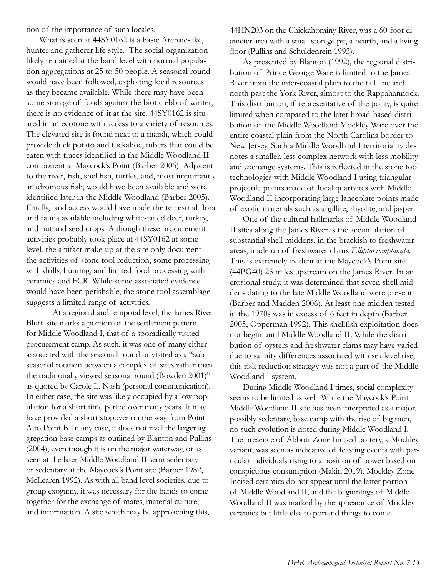tion of the importance of such locales.

What is seen at 44SY0162 is a basic Archaic-like, hunter and gatherer life style. The social organization likely remained at the band level with normal population aggregations at 25 to 50 people. A seasonal round would have been followed, exploiting local resources as they became available. While there may have been some storage of foods against the biotic ebb of winter, there is no evidence of it at the site. 44SY0162 is situated in an ecotone with access to a variety of resources. The elevated site is found next to a marsh, which could provide duck potato and tuckahoe, tubers that could be eaten with traces identified in the Middle Woodland II component at Maycock's Point (Barber 2005). Adjacent to the river, fish, shellfish, turtles, and, most importantly anadromous fish, would have been available and were identified later in the Middle Woodland (Barber 2005). Finally, land access would have made the terrestrial flora and fauna available including white-tailed deer, turkey, and nut and seed crops. Although these procurement activities probably took place at 44SY0162 at some level, the artifact make-up at the site only document the activities of stone tool reduction, some processing with drills, hunting, and limited food processing with ceramics and FCR. While some associated evidence would have been perishable, the stone tool assemblage suggests a limited range of activities.

At a regional and temporal level, the James River Bluff site marks a portion of the settlement pattern for Middle Woodland I, that of a sporadically visited procurement camp. As such, it was one of many either associated with the seasonal round or visited as a "subseasonal rotation between a complex of sites rather than the traditionally viewed seasonal round (Bowden 2001)" as quoted by Carole L. Nash (personal communication). In either case, the site was likely occupied by a low population for a short time period over many years. It may have provided a short stopover on the way from Point A to Point B. In any case, it does not rival the larger aggregation base camps as outlined by Blanton and Pullins (2004), even though it is on the major waterway, or as seen at the later Middle Woodland II semi-sedentary or sedentary at the Maycock's Point site (Barber 1982, McLearen 1992). As with all band level societies, due to group exogamy, it was necessary for the bands to come together for the exchange of mates, material culture, and information. A site which may be approaching this,

44HN203 on the Chickahominy River, was a 60-foot diameter area with a small storage pit, a hearth, and a living floor (Pullins and Schuldenrein 1993).

As presented by Blanton (1992), the regional distribution of Prince George Ware is limited to the James River from the inter-coastal plain to the fall line and north past the York River, almost to the Rappahannock. This distribution, if representative of the polity, is quite limited when compared to the later broad-based distribution of the Middle Woodland Mockley Ware over the entire coastal plain from the North Carolina border to New Jersey. Such a Middle Woodland I territoriality denotes a smaller, less complex network with less mobility and exchange systems. This is reflected in the stone tool technologies with Middle Woodland I using triangular projectile points made of local quartzites with Middle Woodland II incorporating large lanceolate points made of exotic materials such as argillite, rhyolite, and jasper.

One of the cultural hallmarks of Middle Woodland II sites along the James River is the accumulation of substantial shell middens, in the brackish to freshwater areas, made up of freshwater clams *Elliptio complanata*. This is extremely evident at the Maycock's Point site (44PG40) 25 miles upstream on the James River. In an erosional study, it was determined that seven shell middens dating to the late Middle Woodland were present (Barber and Madden 2006). At least one midden tested in the 1970s was in excess of 6 feet in depth (Barber 2005, Opperman 1992). This shellfish exploitation does not begin until Middle Woodland II. While the distribution of oysters and freshwater clams may have varied due to salinity differences associated with sea level rise, this risk reduction strategy was not a part of the Middle Woodland I system.

During Middle Woodland I times, social complexity seems to be limited as well. While the Maycock's Point Middle Woodland II site has been interpreted as a major, possibly sedentary, base camp with the rise of big men, no such evolution is noted during Middle Woodland I. The presence of Abbott Zone Incised pottery, a Mockley variant, was seen as indicative of feasting events with particular individuals rising to a position of power based on conspicuous consumption (Makin 2019). Mockley Zone Incised ceramics do not appear until the latter portion of Middle Woodland II, and the beginnings of Middle Woodland II was marked by the appearance of Mockley ceramics but little else to portend things to come.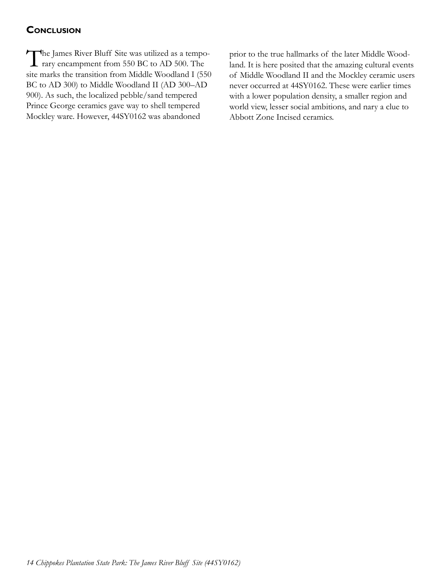## <span id="page-13-0"></span>**Conclusion**

The James River Bluff Site was utilized as a tempo-**1** rary encampment from 550 BC to AD 500. The site marks the transition from Middle Woodland I (550 BC to AD 300) to Middle Woodland II (AD 300–AD 900). As such, the localized pebble/sand tempered Prince George ceramics gave way to shell tempered Mockley ware. However, 44SY0162 was abandoned

prior to the true hallmarks of the later Middle Woodland. It is here posited that the amazing cultural events of Middle Woodland II and the Mockley ceramic users never occurred at 44SY0162. These were earlier times with a lower population density, a smaller region and world view, lesser social ambitions, and nary a clue to Abbott Zone Incised ceramics.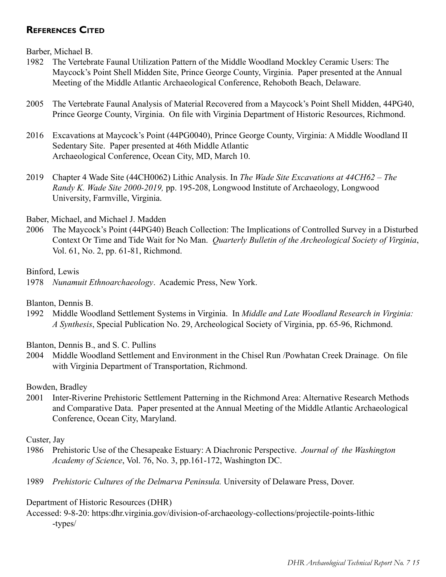## <span id="page-14-0"></span>**References Cited**

Barber, Michael B.

- 1982 The Vertebrate Faunal Utilization Pattern of the Middle Woodland Mockley Ceramic Users: The Maycock's Point Shell Midden Site, Prince George County, Virginia. Paper presented at the Annual Meeting of the Middle Atlantic Archaeological Conference, Rehoboth Beach, Delaware.
- 2005 The Vertebrate Faunal Analysis of Material Recovered from a Maycock's Point Shell Midden, 44PG40, Prince George County, Virginia. On file with Virginia Department of Historic Resources, Richmond.
- 2016 Excavations at Maycock's Point (44PG0040), Prince George County, Virginia: A Middle Woodland II Sedentary Site. Paper presented at 46th Middle Atlantic Archaeological Conference, Ocean City, MD, March 10.
- 2019 Chapter 4 Wade Site (44CH0062) Lithic Analysis. In *The Wade Site Excavations at 44CH62 The Randy K. Wade Site 2000-2019,* pp. 195-208, Longwood Institute of Archaeology, Longwood University, Farmville, Virginia.

## Baber, Michael, and Michael J. Madden

2006 The Maycock's Point (44PG40) Beach Collection: The Implications of Controlled Survey in a Disturbed Context Or Time and Tide Wait for No Man. *Quarterly Bulletin of the Archeological Society of Virginia*, Vol. 61, No. 2, pp. 61-81, Richmond.

## Binford, Lewis

1978 *Nunamuit Ethnoarchaeology*. Academic Press, New York.

Blanton, Dennis B.

1992 Middle Woodland Settlement Systems in Virginia. In *Middle and Late Woodland Research in Virginia: A Synthesis*, Special Publication No. 29, Archeological Society of Virginia, pp. 65-96, Richmond.

Blanton, Dennis B., and S. C. Pullins

2004 Middle Woodland Settlement and Environment in the Chisel Run /Powhatan Creek Drainage. On file with Virginia Department of Transportation, Richmond.

Bowden, Bradley

2001 Inter-Riverine Prehistoric Settlement Patterning in the Richmond Area: Alternative Research Methods and Comparative Data. Paper presented at the Annual Meeting of the Middle Atlantic Archaeological Conference, Ocean City, Maryland.

## Custer, Jay

- 1986 Prehistoric Use of the Chesapeake Estuary: A Diachronic Perspective. *Journal of the Washington Academy of Science*, Vol. 76, No. 3, pp.161-172, Washington DC.
- 1989 *Prehistoric Cultures of the Delmarva Peninsula.* University of Delaware Press, Dover.

## Department of Historic Resources (DHR)

Accessed: 9-8-20: https:dhr.virginia.gov/division-of-archaeology-collections/projectile-points-lithic -types/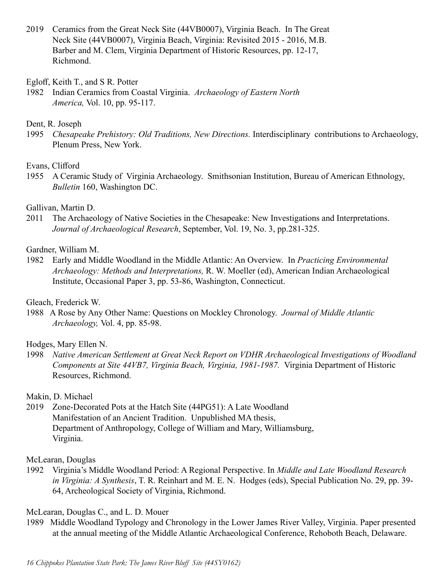2019 Ceramics from the Great Neck Site (44VB0007), Virginia Beach. In The Great Neck Site (44VB0007), Virginia Beach, Virginia: Revisited 2015 - 2016, M.B. Barber and M. Clem, Virginia Department of Historic Resources, pp. 12-17, Richmond.

Egloff, Keith T., and S R. Potter

1982 Indian Ceramics from Coastal Virginia. *Archaeology of Eastern North America,* Vol. 10, pp. 95-117.

#### Dent, R. Joseph

1995 *Chesapeake Prehistory: Old Traditions, New Directions.* Interdisciplinary contributions to Archaeology, Plenum Press, New York.

#### Evans, Clifford

1955 A Ceramic Study of Virginia Archaeology. Smithsonian Institution, Bureau of American Ethnology, *Bulletin* 160, Washington DC.

## Gallivan, Martin D.

2011 The Archaeology of Native Societies in the Chesapeake: New Investigations and Interpretations. *Journal of Archaeological Research*, September, Vol. 19, No. 3, pp.281-325.

#### Gardner, William M.

1982 Early and Middle Woodland in the Middle Atlantic: An Overview. In *Practicing Environmental Archaeology: Methods and Interpretations,* R. W. Moeller (ed), American Indian Archaeological Institute, Occasional Paper 3, pp. 53-86, Washington, Connecticut.

#### Gleach, Frederick W.

1988 A Rose by Any Other Name: Questions on Mockley Chronology. *Journal of Middle Atlantic Archaeology,* Vol. 4, pp. 85-98.

## Hodges, Mary Ellen N.

1998 *Native American Settlement at Great Neck Report on VDHR Archaeological Investigations of Woodland Components at Site 44VB7, Virginia Beach, Virginia, 1981-1987.* Virginia Department of Historic Resources, Richmond.

## Makin, D. Michael

2019 Zone-Decorated Pots at the Hatch Site (44PG51): A Late Woodland Manifestation of an Ancient Tradition. Unpublished MA thesis, Department of Anthropology, College of William and Mary, Williamsburg, Virginia.

#### McLearan, Douglas

1992 Virginia's Middle Woodland Period: A Regional Perspective. In *Middle and Late Woodland Research in Virginia: A Synthesis*, T. R. Reinhart and M. E. N. Hodges (eds), Special Publication No. 29, pp. 39- 64, Archeological Society of Virginia, Richmond.

## McLearan, Douglas C., and L. D. Mouer

1989 Middle Woodland Typology and Chronology in the Lower James River Valley, Virginia. Paper presented at the annual meeting of the Middle Atlantic Archaeological Conference, Rehoboth Beach, Delaware.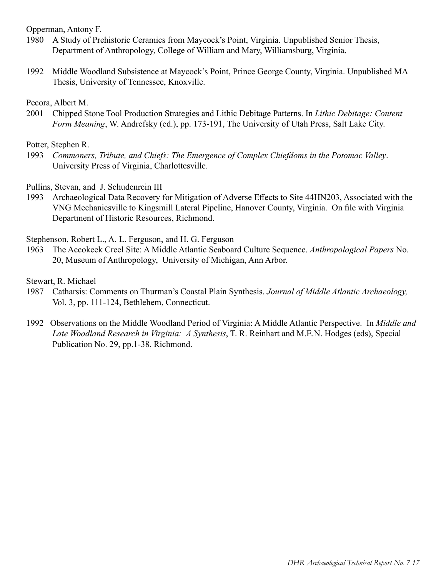Opperman, Antony F.

- 1980 A Study of Prehistoric Ceramics from Maycock's Point, Virginia. Unpublished Senior Thesis, Department of Anthropology, College of William and Mary, Williamsburg, Virginia.
- 1992 Middle Woodland Subsistence at Maycock's Point, Prince George County, Virginia. Unpublished MA Thesis, University of Tennessee, Knoxville.

Pecora, Albert M.

2001 Chipped Stone Tool Production Strategies and Lithic Debitage Patterns. In *Lithic Debitage: Content Form Meaning*, W. Andrefsky (ed.), pp. 173-191, The University of Utah Press, Salt Lake City.

Potter, Stephen R.

1993 *Commoners, Tribute, and Chiefs: The Emergence of Complex Chiefdoms in the Potomac Valley*. University Press of Virginia, Charlottesville.

Pullins, Stevan, and J. Schudenrein III

1993 Archaeological Data Recovery for Mitigation of Adverse Effects to Site 44HN203, Associated with the VNG Mechanicsville to Kingsmill Lateral Pipeline, Hanover County, Virginia. On file with Virginia Department of Historic Resources, Richmond.

Stephenson, Robert L., A. L. Ferguson, and H. G. Ferguson

1963 The Accokeek Creel Site: A Middle Atlantic Seaboard Culture Sequence. *Anthropological Papers* No. 20, Museum of Anthropology, University of Michigan, Ann Arbor.

Stewart, R. Michael

- 1987 Catharsis: Comments on Thurman's Coastal Plain Synthesis. *Journal of Middle Atlantic Archaeology,*  Vol. 3, pp. 111-124, Bethlehem, Connecticut.
- 1992 Observations on the Middle Woodland Period of Virginia: A Middle Atlantic Perspective. In *Middle and Late Woodland Research in Virginia: A Synthesis*, T. R. Reinhart and M.E.N. Hodges (eds), Special Publication No. 29, pp.1-38, Richmond.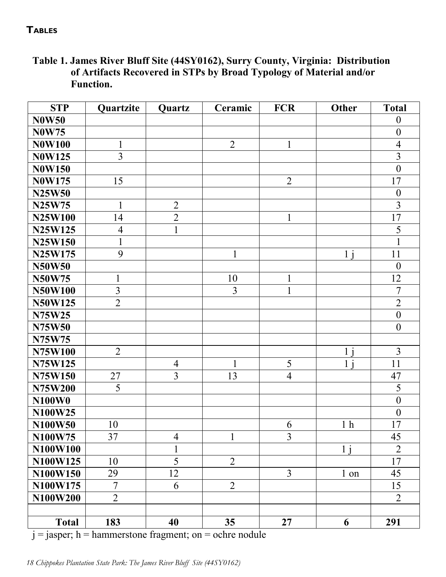## <span id="page-17-0"></span>**Tables**

## **Table 1. James River Bluff Site (44SY0162), Surry County, Virginia: Distribution of Artifacts Recovered in STPs by Broad Typology of Material and/or Function.**

| <b>STP</b>     | Quartzite      | Quartz                   | Ceramic         | <b>FCR</b>     | <b>Other</b>    | <b>Total</b>     |
|----------------|----------------|--------------------------|-----------------|----------------|-----------------|------------------|
| <b>N0W50</b>   |                |                          |                 |                |                 | $\boldsymbol{0}$ |
| <b>N0W75</b>   |                |                          |                 |                |                 | $\boldsymbol{0}$ |
| <b>N0W100</b>  | $\mathbf{1}$   |                          | $\overline{2}$  | $\mathbf{1}$   |                 | $\overline{4}$   |
| <b>N0W125</b>  | $\overline{3}$ |                          |                 |                |                 | $\overline{3}$   |
| <b>N0W150</b>  |                |                          |                 |                |                 | $\mathbf{0}$     |
| <b>N0W175</b>  | 15             |                          |                 | $\overline{2}$ |                 | 17               |
| <b>N25W50</b>  |                |                          |                 |                |                 | $\boldsymbol{0}$ |
| N25W75         | $\mathbf{1}$   | $\overline{2}$           |                 |                |                 | $\overline{3}$   |
| <b>N25W100</b> | 14             | $\overline{2}$           |                 | $\mathbf{1}$   |                 | 17               |
| N25W125        | $\overline{4}$ | $\mathbf{1}$             |                 |                |                 | 5                |
| N25W150        | $\mathbf{1}$   |                          |                 |                |                 | $\mathbf{1}$     |
| N25W175        | 9              |                          | $\mathbf{1}$    |                | $1\overline{i}$ | 11               |
| <b>N50W50</b>  |                |                          |                 |                |                 | $\boldsymbol{0}$ |
| <b>N50W75</b>  | 1              |                          | 10              | 1              |                 | 12               |
| <b>N50W100</b> | $\overline{3}$ |                          | $\overline{3}$  | $\mathbf{1}$   |                 | $\overline{7}$   |
| N50W125        | $\overline{2}$ |                          |                 |                |                 | $\overline{2}$   |
| N75W25         |                |                          |                 |                |                 | $\boldsymbol{0}$ |
| <b>N75W50</b>  |                |                          |                 |                |                 | $\boldsymbol{0}$ |
| N75W75         |                |                          |                 |                |                 |                  |
| N75W100        | $\overline{2}$ |                          |                 |                | $1\,\mathrm{i}$ | $\overline{3}$   |
| N75W125        |                | $\overline{4}$           | $\mathbf{1}$    | 5              | $\mathbf{1}$    | 11               |
| N75W150        | 27             | $\overline{3}$           | 13              | $\overline{4}$ |                 | 47               |
| <b>N75W200</b> | 5              |                          |                 |                |                 | 5                |
| N100W0         |                |                          |                 |                |                 | $\mathbf{0}$     |
| N100W25        |                |                          |                 |                |                 | $\boldsymbol{0}$ |
| N100W50        | 10             |                          |                 | 6              | 1 <sub>h</sub>  | 17               |
| N100W75        | 37             | $\overline{\mathcal{A}}$ | $\mathbf{1}$    | $\overline{3}$ |                 | 45               |
| N100W100       |                | $\mathbf{1}$             |                 |                | 1 <sub>i</sub>  | $\overline{2}$   |
| N100W125       | 10             | $\overline{5}$           | $\overline{2}$  |                |                 | 17               |
| N100W150       | 29             | 12                       |                 | $\overline{3}$ | 1 on            | 45               |
| N100W175       | $\overline{7}$ | 6                        | $\overline{2}$  |                |                 | 15               |
| N100W200       | $\overline{2}$ |                          |                 |                |                 | $\overline{2}$   |
|                |                |                          |                 |                |                 |                  |
| <b>Total</b>   | 183            | 40                       | 35 <sub>1</sub> | $27\,$         | 6               | 291              |

 $j =$  jasper; h = hammerstone fragment; on = ochre nodule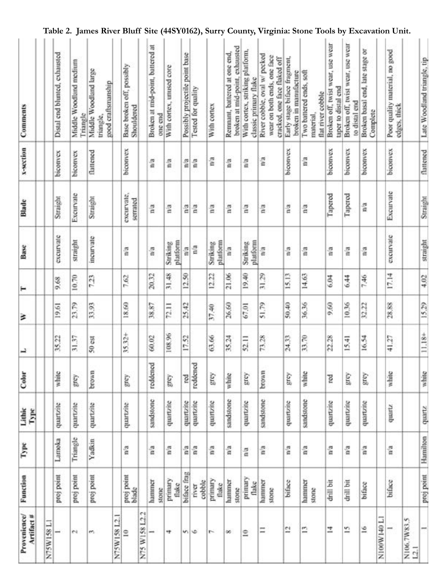| Comments<br>x-section      |          | Distal end blunted, exhausted<br>biconvex | Middle Woodland medium<br>Triangle<br>biconvex | Middle Woodland large<br>good craftsmanship<br>triangle,<br>flattened |              | Base broken off, possibly<br>Shouldered<br>biconvex |                  | Broken at mid-point, battered at<br>one end<br>â | With cortex, unused core<br>ã | Possibly projectile point base<br>ã | Tested for quality<br>å | With cortex<br>n'a   | broken at mid-point, exhausted<br>Remnant, battered at one end,<br>n/a | With cortex, striking platform,<br>classic primary flake<br>$\frac{a}{a}$ | River cobble, oval w/ pecked<br>wear on both ends, one face<br>cracked, one face flaked off<br>ã | Early stage biface fragment,<br>broken in manufacture<br>biconvex | Two battered ends, soft<br>flat river cobble<br>material<br>ã | Broken off, twist wear, use wear<br>taper to distal end<br>biconvex | Broken off, twist wear, use wear<br>to distal end<br>biconvex | Broken basal end, late stage or<br>Complete<br>biconvex |            | Poor quality material, no good<br>edges, thick<br>biconvex |             |
|----------------------------|----------|-------------------------------------------|------------------------------------------------|-----------------------------------------------------------------------|--------------|-----------------------------------------------------|------------------|--------------------------------------------------|-------------------------------|-------------------------------------|-------------------------|----------------------|------------------------------------------------------------------------|---------------------------------------------------------------------------|--------------------------------------------------------------------------------------------------|-------------------------------------------------------------------|---------------------------------------------------------------|---------------------------------------------------------------------|---------------------------------------------------------------|---------------------------------------------------------|------------|------------------------------------------------------------|-------------|
| Blade                      |          | Straight                                  | Excurvate                                      | Straight                                                              |              | excurvate,<br>serrated                              |                  | $\frac{3}{4}$                                    | na                            | ã                                   | å                       | ã                    | n'a                                                                    | ã                                                                         | ă                                                                                                | ã                                                                 | $\frac{2}{12}$                                                | Tapered                                                             | Tapered                                                       | ã                                                       |            | Excurvate                                                  |             |
| Base                       |          | exeurvate                                 | straight                                       | incurvate                                                             |              | ã                                                   |                  | ã                                                | platform<br>Striking          | ã                                   | ã                       | platform<br>Striking | $\frac{3}{10}$                                                         | platform<br>Striking                                                      | ã                                                                                                | ã                                                                 | n'a                                                           | ã                                                                   | ã                                                             | $\frac{a}{a}$                                           |            | exeurvate                                                  |             |
| н                          |          | 9.68                                      | 10.70                                          | 723                                                                   |              | 7.62                                                |                  | 20.32                                            | 31.48                         | 12.50                               |                         | 12.22                | 21.06                                                                  | 19,40                                                                     | 31,29                                                                                            | 15.13                                                             | 14.63                                                         | 6.04                                                                | 6.44                                                          | 7.46                                                    |            | 17.14                                                      |             |
| ≥                          |          | 19.61                                     | 23.79                                          | 33.93                                                                 |              | 18.60                                               |                  | 38.87                                            | 72.11                         | 25,42                               |                         | 37.40                | 26,60                                                                  | 67.01                                                                     | 51.79                                                                                            | 50,40                                                             | 36.36                                                         | 9,60                                                                | 10,36                                                         | 32.22                                                   |            | 28,88                                                      |             |
| ↵                          |          | 35.22                                     | 31.37                                          | 50 est                                                                |              | 35.32+                                              |                  | 60.02                                            | 108.96                        | 17.52                               |                         | 63.66                | 35.24                                                                  | 52.11                                                                     | 73.28                                                                                            | 24.33                                                             | 33.70                                                         | 22.28                                                               | 15.41                                                         | 16.54                                                   |            | 41.27                                                      |             |
| Color                      |          | white                                     | prey                                           | brown                                                                 |              | Kauf                                                |                  | reddened                                         | grey                          | rod                                 | reddened                | grey                 | white                                                                  | kas                                                                       | brown                                                                                            | grey.                                                             | white                                                         | red                                                                 | Susk                                                          | kazê                                                    |            | white                                                      |             |
| Lithic<br>Type             |          | quartzite                                 | quartzite                                      | quartzite                                                             |              | quartzite                                           |                  | sandstone                                        | quartzite                     | quartzite                           | quartzite               | quartzite            | sandstone                                                              | quartzite                                                                 | sandstone                                                                                        | quartzite                                                         | sandstone                                                     | quartzite                                                           | quartzite                                                     | quartzite                                               |            | quartz                                                     |             |
| Type                       |          | Lamoka                                    | Triangle                                       | Yadkin                                                                |              | n'a                                                 |                  | n'a                                              | n'a                           | ã                                   | n'a                     | ã                    | n/a                                                                    | ã                                                                         | n'a                                                                                              | ã                                                                 | n'a                                                           | n'a                                                                 | ã                                                             | n'a                                                     |            | na                                                         |             |
| Function                   |          | proj point                                | proj point                                     | proj point                                                            |              | proj point<br>blade                                 |                  | hammer<br>stone                                  | primary<br>flake              | biface frag                         | cobble<br>mer           | primary<br>flake     | hammer<br>stone                                                        | primary<br>flake                                                          | hammer<br>stone                                                                                  | biface                                                            | hammer<br>stone                                               | drill bit                                                           | drill bit                                                     | biface                                                  |            | biface                                                     |             |
| Provenience/<br>Artifact # | N75W158L | ÷                                         | e.                                             | m                                                                     | N75W158 L2.1 | $\cong$                                             | e4<br>N75 W15812 |                                                  | ÷                             | m.                                  | ٠                       | r-                   | $^{\circ}$                                                             | $\tilde{=}$                                                               | Ξ                                                                                                | 73                                                                | $\mathbf{r}$                                                  | z                                                                   | 5                                                             | $\tilde{e}$                                             | I/100MW140 |                                                            | N106.7W83.5 |

## **Table 2. James River Bluff Site (44SY0162), Surry County, Virginia: Stone Tools by Excavation Unit.**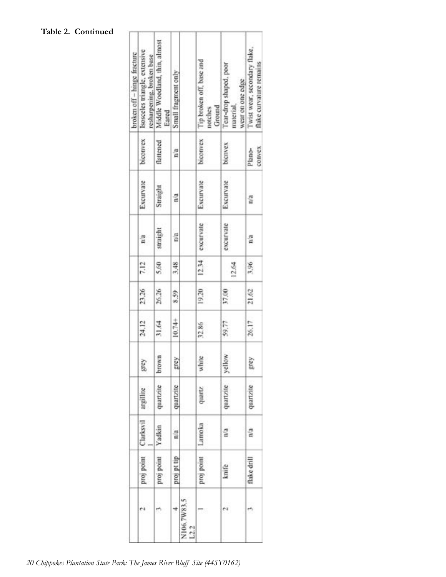## **Table 2. Continued**

| broken off - hinge fracture | Isosceles triangle, extensive<br>resharpening, broken base | Middle Woodland, thin, almost<br>Eared | Small fragment only |                     | Tip broken off, base and<br>Ground<br>notches | Tear-drop shaped, poor<br>wear on one edge<br>material, | Twist wear, secondary flake,<br>flake curvature remains |
|-----------------------------|------------------------------------------------------------|----------------------------------------|---------------------|---------------------|-----------------------------------------------|---------------------------------------------------------|---------------------------------------------------------|
|                             | biconvex                                                   | flattened                              | n'a                 |                     | biconvex                                      | bienvex                                                 | <b>COINCX</b><br>Plano-                                 |
|                             | Exeurvate                                                  | Straight                               | $\mathbb{R}^2$      |                     | Excurvate                                     | Excurvate                                               | n/a                                                     |
|                             | 晋<br>ŝ                                                     | straight                               | n'a                 |                     | excurvate                                     | excurvate                                               | 즐                                                       |
|                             | 7.12                                                       | 5.60                                   | 3.48                |                     | 12.34                                         | 12.64                                                   | 3,96                                                    |
|                             | 23,26                                                      | 26.26                                  | 8.59                |                     | 19,20                                         | 37.00                                                   | 21.62                                                   |
|                             | 24.12                                                      | 31.64                                  | 10.74+              |                     | 32.86                                         | 59.77                                                   | 26.17                                                   |
|                             | grey                                                       | brown                                  | kaiã                |                     | white                                         | vellow                                                  | iai                                                     |
|                             | argillite                                                  | quartzite                              | quartzite           |                     | quartz                                        | quartzite                                               | quartzite                                               |
|                             | Clarksvil                                                  | Yadkin                                 | n/a                 |                     | Lamoka                                        | $\mathbf{n}^{\prime}$ a                                 | f,                                                      |
|                             | proj point                                                 | proj point                             | din 1d ford         |                     | proj point                                    | knife                                                   | flake drill                                             |
|                             |                                                            |                                        |                     | N106.7W83.5<br>L2.2 |                                               | ۴ă                                                      |                                                         |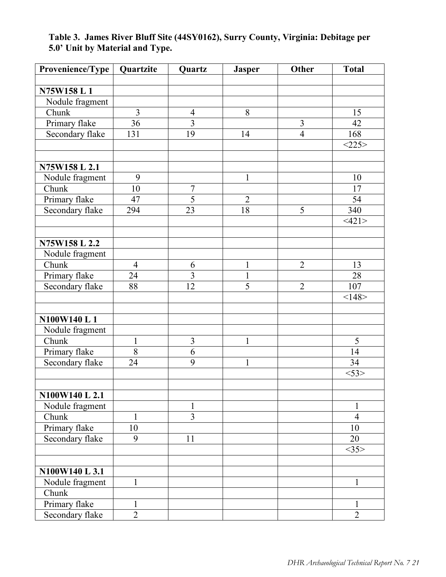| Provenience/Type | Quartzite      | <b>Quartz</b>           | <b>Jasper</b>  | Other          | <b>Total</b>   |
|------------------|----------------|-------------------------|----------------|----------------|----------------|
|                  |                |                         |                |                |                |
| N75W158 L 1      |                |                         |                |                |                |
| Nodule fragment  |                |                         |                |                |                |
| Chunk            | 3              | $\overline{4}$          | 8              |                | 15             |
| Primary flake    | 36             | 3                       |                | $\overline{3}$ | 42             |
| Secondary flake  | 131            | 19                      | 14             | $\overline{4}$ | 168            |
|                  |                |                         |                |                | <225>          |
| N75W158 L 2.1    |                |                         |                |                |                |
| Nodule fragment  | 9              |                         | $\mathbf{1}$   |                | 10             |
| Chunk            | 10             | $\overline{7}$          |                |                | 17             |
| Primary flake    | 47             | $\overline{5}$          | $\overline{2}$ |                | 54             |
| Secondary flake  | 294            | 23                      | 18             | 5              | 340            |
|                  |                |                         |                |                | <121>          |
|                  |                |                         |                |                |                |
| N75W158 L 2.2    |                |                         |                |                |                |
| Nodule fragment  |                |                         |                |                |                |
| Chunk            | $\overline{4}$ | 6                       | $\mathbf{1}$   | $\overline{2}$ | 13             |
| Primary flake    | 24             | $\overline{\mathbf{3}}$ | $\mathbf{1}$   |                | 28             |
| Secondary flake  | 88             | 12                      | 5              | $\overline{2}$ | 107            |
|                  |                |                         |                |                | <148>          |
| N100W140 L1      |                |                         |                |                |                |
| Nodule fragment  |                |                         |                |                |                |
| Chunk            | $\mathbf{1}$   | $\overline{3}$          | $\mathbf{1}$   |                | 5              |
| Primary flake    | 8              | 6                       |                |                | 14             |
| Secondary flake  | 24             | 9                       | $\mathbf{1}$   |                | 34             |
|                  |                |                         |                |                | $<$ 53>        |
|                  |                |                         |                |                |                |
| N100W140 L 2.1   |                |                         |                |                |                |
| Nodule fragment  |                | $\mathbf{1}$            |                |                | $\mathbf{1}$   |
| Chunk            | 1              | $\overline{3}$          |                |                | $\overline{4}$ |
| Primary flake    | 10             |                         |                |                | 10             |
| Secondary flake  | 9              | 11                      |                |                | 20             |
|                  |                |                         |                |                | <35>           |
|                  |                |                         |                |                |                |
| N100W140 L 3.1   |                |                         |                |                |                |
| Nodule fragment  | $\mathbf{1}$   |                         |                |                | $\mathbf{1}$   |
| Chunk            |                |                         |                |                |                |
| Primary flake    | 1              |                         |                |                | 1              |
| Secondary flake  | $\overline{2}$ |                         |                |                | $\overline{2}$ |

## **Table 3. James River Bluff Site (44SY0162), Surry County, Virginia: Debitage per 5.0' Unit by Material and Type.**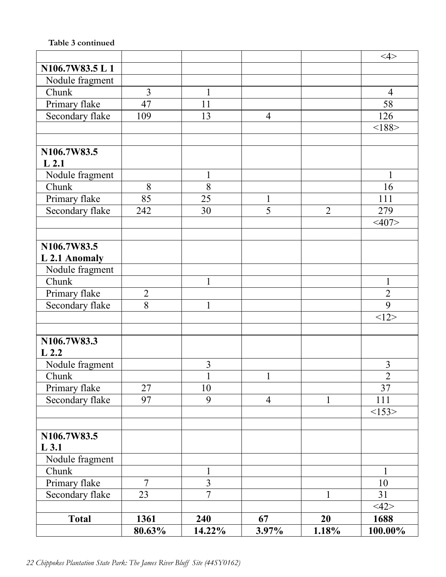## **Table 3 continued**

|                  |                |                |                |                | $<\!\!4\!\!>$  |
|------------------|----------------|----------------|----------------|----------------|----------------|
| N106.7W83.5 L 1  |                |                |                |                |                |
| Nodule fragment  |                |                |                |                |                |
| Chunk            | 3              | 1              |                |                | $\overline{4}$ |
| Primary flake    | 47             | 11             |                |                | 58             |
| Secondary flake  | 109            | 13             | $\overline{4}$ |                | 126            |
|                  |                |                |                |                | <188           |
|                  |                |                |                |                |                |
| N106.7W83.5      |                |                |                |                |                |
| L <sub>2.1</sub> |                |                |                |                |                |
| Nodule fragment  |                | 1              |                |                | 1              |
| Chunk            | 8              | 8              |                |                | 16             |
| Primary flake    | 85             | 25             | $\mathbf{1}$   |                | 111            |
| Secondary flake  | 242            | 30             | 5              | $\overline{2}$ | 279            |
|                  |                |                |                |                | $<$ 407>       |
|                  |                |                |                |                |                |
| N106.7W83.5      |                |                |                |                |                |
| L 2.1 Anomaly    |                |                |                |                |                |
| Nodule fragment  |                |                |                |                |                |
| Chunk            |                | $\mathbf{1}$   |                |                | $\mathbf{1}$   |
| Primary flake    | $\overline{2}$ |                |                |                | $\overline{2}$ |
| Secondary flake  | 8              | 1              |                |                | 9              |
|                  |                |                |                |                | <12>           |
|                  |                |                |                |                |                |
| N106.7W83.3      |                |                |                |                |                |
| $L$ 2.2          |                |                |                |                |                |
| Nodule fragment  |                | $\overline{3}$ |                |                | 3              |
| Chunk            |                | $\mathbf{1}$   | $\mathbf{1}$   |                | $\overline{c}$ |
| Primary flake    | 27             | 10             |                |                | 37             |
| Secondary flake  | 97             | 9              | $\overline{4}$ | $\mathbf{1}$   | 111            |
|                  |                |                |                |                | <153>          |
|                  |                |                |                |                |                |
| N106.7W83.5      |                |                |                |                |                |
| $L$ 3.1          |                |                |                |                |                |
| Nodule fragment  |                |                |                |                |                |
| Chunk            |                | $\mathbf{1}$   |                |                | $\mathbf{1}$   |
| Primary flake    | $\overline{7}$ | $\overline{3}$ |                |                | 10             |
| Secondary flake  | 23             | $\overline{7}$ |                | $\mathbf{1}$   | 31             |
|                  |                |                |                |                | <12>           |
| <b>Total</b>     | 1361           | 240            | 67             | 20             | 1688           |
|                  | 80.63%         | 14.22%         | 3.97%          | 1.18%          | 100.00%        |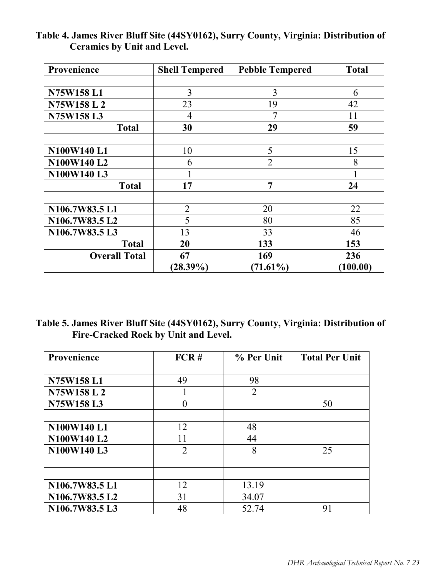| Provenience          | <b>Shell Tempered</b> | <b>Pebble Tempered</b> | <b>Total</b> |
|----------------------|-----------------------|------------------------|--------------|
|                      |                       |                        |              |
| N75W158L1            | 3                     | 3                      | 6            |
| N75W158L2            | 23                    | 19                     | 42           |
| N75W158L3            | 4                     | 7                      | 11           |
| <b>Total</b>         | 30                    | 29                     | 59           |
|                      |                       |                        |              |
| N100W140 L1          | 10                    | 5                      | 15           |
| N100W140 L2          | 6                     | $\overline{2}$         | 8            |
| N100W140L3           |                       |                        |              |
| <b>Total</b>         | 17                    | $\overline{7}$         | 24           |
|                      |                       |                        |              |
| N106.7W83.5 L1       | $\overline{2}$        | 20                     | 22           |
| N106.7W83.5 L2       | 5                     | 80                     | 85           |
| N106.7W83.5 L3       | 13                    | 33                     | 46           |
| <b>Total</b>         | 20                    | 133                    | 153          |
| <b>Overall Total</b> | 67                    | 169                    | 236          |
|                      | $(28.39\%)$           | $(71.61\%)$            | (100.00)     |

## **Table 4. James River Bluff Sit**e **(44SY0162), Surry County, Virginia: Distribution of Ceramics by Unit and Level.**

**Table 5. James River Bluff Sit**e **(44SY0162), Surry County, Virginia: Distribution of Fire-Cracked Rock by Unit and Level.**

| Provenience      | FCR#           | % Per Unit     | <b>Total Per Unit</b> |
|------------------|----------------|----------------|-----------------------|
|                  |                |                |                       |
| <b>N75W158L1</b> | 49             | 98             |                       |
| N75W158 L 2      |                | $\overline{2}$ |                       |
| N75W158L3        | 0              |                | 50                    |
|                  |                |                |                       |
| N100W140 L1      | 12             | 48             |                       |
| N100W140 L2      | 11             | 44             |                       |
| N100W140 L3      | $\overline{2}$ | 8              | 25                    |
|                  |                |                |                       |
|                  |                |                |                       |
| N106.7W83.5 L1   | 12             | 13.19          |                       |
| N106.7W83.5 L2   | 31             | 34.07          |                       |
| N106.7W83.5 L3   | 48             | 52.74          | 91                    |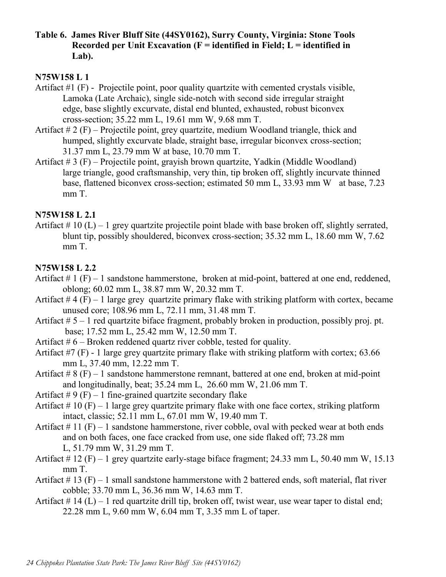**Table 6. James River Bluff Site (44SY0162), Surry County, Virginia: Stone Tools Recorded per Unit Excavation (F = identified in Field; L = identified in Lab).**

## **N75W158 L 1**

- Artifact #1 (F) Projectile point, poor quality quartzite with cemented crystals visible, Lamoka (Late Archaic), single side-notch with second side irregular straight edge, base slightly excurvate, distal end blunted, exhausted, robust biconvex cross-section; 35.22 mm L, 19.61 mm W, 9.68 mm T.
- Artifact # 2 (F) Projectile point, grey quartzite, medium Woodland triangle, thick and humped, slightly excurvate blade, straight base, irregular biconvex cross-section; 31.37 mm L, 23.79 mm W at base, 10.70 mm T.
- Artifact # 3 (F) Projectile point, grayish brown quartzite, Yadkin (Middle Woodland) large triangle, good craftsmanship, very thin, tip broken off, slightly incurvate thinned base, flattened biconvex cross-section; estimated 50 mm L, 33.93 mm W at base, 7.23 mm T.

## **N75W158 L 2.1**

Artifact  $\# 10$  (L) – 1 grey quartzite projectile point blade with base broken off, slightly serrated, blunt tip, possibly shouldered, biconvex cross-section; 35.32 mm L, 18.60 mm W, 7.62 mm T.

## **N75W158 L 2.2**

- Artifact  $\# 1$  (F) 1 sandstone hammerstone, broken at mid-point, battered at one end, reddened, oblong; 60.02 mm L, 38.87 mm W, 20.32 mm T.
- Artifact  $#4(F) 1$  large grey quartzite primary flake with striking platform with cortex, became unused core; 108.96 mm L, 72.11 mm, 31.48 mm T.
- Artifact  $# 5 1$  red quartzite biface fragment, probably broken in production, possibly proj. pt. base; 17.52 mm L, 25.42 mm W, 12.50 mm T.
- Artifact  $# 6$  Broken reddened quartz river cobble, tested for quality.
- Artifact #7 (F) 1 large grey quartzite primary flake with striking platform with cortex; 63.66 mm L, 37.40 mm, 12.22 mm T.
- Artifact  $\# 8$  (F) 1 sandstone hammerstone remnant, battered at one end, broken at mid-point and longitudinally, beat; 35.24 mm L, 26.60 mm W, 21.06 mm T.
- Artifact  $\#9$  (F) 1 fine-grained quartzite secondary flake
- Artifact  $\# 10$  (F) 1 large grey quartzite primary flake with one face cortex, striking platform intact, classic; 52.11 mm L, 67.01 mm W, 19.40 mm T.
- Artifact  $\# 11$  (F) 1 sandstone hammerstone, river cobble, oval with pecked wear at both ends and on both faces, one face cracked from use, one side flaked off; 73.28 mm L, 51.79 mm W, 31.29 mm T.
- Artifact  $\# 12$  (F) 1 grey quartzite early-stage biface fragment; 24.33 mm L, 50.40 mm W, 15.13 mm T.
- Artifact  $\#$  13 (F) 1 small sandstone hammerstone with 2 battered ends, soft material, flat river cobble; 33.70 mm L, 36.36 mm W, 14.63 mm T.
- Artifact  $\# 14$  (L) 1 red quartzite drill tip, broken off, twist wear, use wear taper to distal end; 22.28 mm L, 9.60 mm W, 6.04 mm T, 3.35 mm L of taper.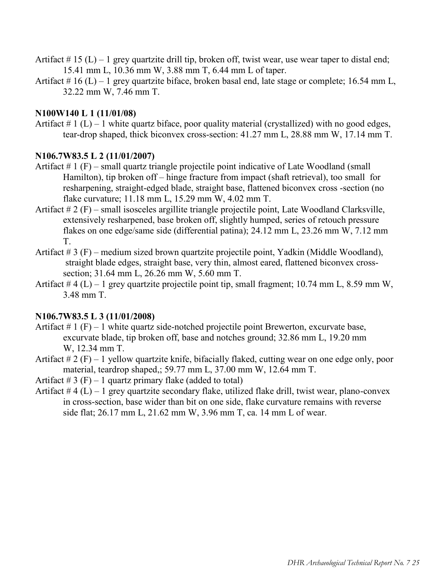- Artifact  $\#$  15 (L) 1 grey quartzite drill tip, broken off, twist wear, use wear taper to distal end; 15.41 mm L, 10.36 mm W, 3.88 mm T, 6.44 mm L of taper.
- Artifact  $\# 16$  (L) 1 grey quartzite biface, broken basal end, late stage or complete; 16.54 mm L, 32.22 mm W, 7.46 mm T.

## **N100W140 L 1 (11/01/08)**

Artifact  $\# 1$  (L) – 1 white quartz biface, poor quality material (crystallized) with no good edges, tear-drop shaped, thick biconvex cross-section: 41.27 mm L, 28.88 mm W, 17.14 mm T.

## **N106.7W83.5 L 2 (11/01/2007)**

- Artifact  $\# 1$  (F) small quartz triangle projectile point indicative of Late Woodland (small Hamilton), tip broken off – hinge fracture from impact (shaft retrieval), too small for resharpening, straight-edged blade, straight base, flattened biconvex cross -section (no flake curvature; 11.18 mm L, 15.29 mm W, 4.02 mm T.
- Artifact # 2 (F) small isosceles argillite triangle projectile point, Late Woodland Clarksville, extensively resharpened, base broken off, slightly humped, series of retouch pressure flakes on one edge/same side (differential patina); 24.12 mm L, 23.26 mm W, 7.12 mm T.
- Artifact # 3 (F) medium sized brown quartzite projectile point, Yadkin (Middle Woodland), straight blade edges, straight base, very thin, almost eared, flattened biconvex crosssection; 31.64 mm L, 26.26 mm W, 5.60 mm T.
- Artifact  $\# 4$  (L) 1 grey quartzite projectile point tip, small fragment; 10.74 mm L, 8.59 mm W, 3.48 mm T.

## **N106.7W83.5 L 3 (11/01/2008)**

- Artifact  $\# 1$  (F) 1 white quartz side-notched projectile point Brewerton, excurvate base, excurvate blade, tip broken off, base and notches ground; 32.86 mm L, 19.20 mm W, 12.34 mm T.
- Artifact  $\# 2(F) 1$  yellow quartzite knife, bifacially flaked, cutting wear on one edge only, poor material, teardrop shaped,; 59.77 mm L, 37.00 mm W, 12.64 mm T.

Artifact  $\# 3$  (F) – 1 quartz primary flake (added to total)

Artifact  $# 4 (L) - 1$  grey quartzite secondary flake, utilized flake drill, twist wear, plano-convex in cross-section, base wider than bit on one side, flake curvature remains with reverse side flat; 26.17 mm L, 21.62 mm W, 3.96 mm T, ca. 14 mm L of wear.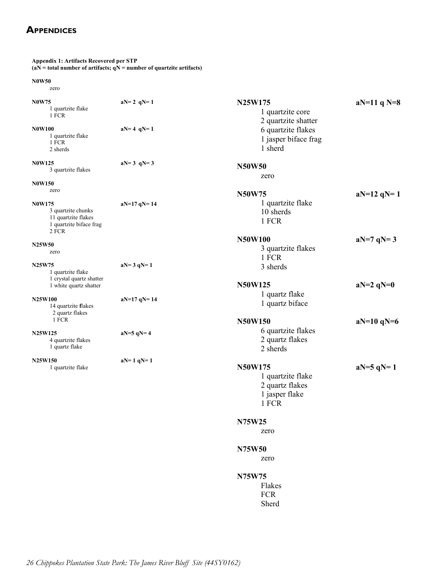## <span id="page-25-0"></span>**Appendices**

| <b>Appendix 1: Artifacts Recovered per STP</b>                                                 | $(aN = total number of artifacts; qN = number of quartzite artifacts)$ |                                      |
|------------------------------------------------------------------------------------------------|------------------------------------------------------------------------|--------------------------------------|
| <b>N0W50</b><br>zero                                                                           |                                                                        |                                      |
| <b>N0W75</b><br>1 quartzite flake<br>1 FCR                                                     | $aN = 2 qN = 1$                                                        | N25W175<br>1 q<br>2 q                |
| <b>N0W100</b><br>1 quartzite flake<br>1 FCR<br>2 sherds                                        | $aN = 4 qN = 1$                                                        | 6q<br>1 ja<br>$1 \,$ sh              |
| <b>N0W125</b><br>3 quartzite flakes<br><b>N0W150</b>                                           | $aN = 3$ qN= 3                                                         | <b>N50W50</b><br>zero                |
| zero                                                                                           |                                                                        | <b>N50W75</b>                        |
| <b>N0W175</b><br>3 quartzite chunks<br>11 quartzite flakes<br>1 quartzite biface frag<br>2 FCR | $aN=17 qN=14$                                                          | 1 q<br>10 <sub>s</sub><br>1 F        |
| N25W50<br>zero                                                                                 |                                                                        | <b>N50W100</b><br>3 qı<br>1 F        |
| N25W75<br>1 quartzite flake<br>1 crystal quartz shatter                                        | $aN = 3 qN = 1$                                                        | $3 \,$ sh<br>N50W125                 |
| 1 white quartz shatter<br><b>N25W100</b><br>14 quartzite flakes<br>2 quartz flakes             | $aN=17 qN=14$                                                          | 1 qı<br>1 q                          |
| 1 FCR                                                                                          |                                                                        | <b>N50W150</b>                       |
| N25W125<br>4 quartzite flakes<br>1 quartz flake                                                | $aN=5 qN=4$                                                            | 6 qı<br>2 q<br>2 <sub>st</sub>       |
| <b>N25W150</b><br>1 quartzite flake                                                            | $aN=1 qN=1$                                                            | N50W175<br>1 q<br>2 q<br>1 ja<br>1 F |
|                                                                                                |                                                                        | N75W25<br>zero                       |
|                                                                                                |                                                                        | N75W50<br>zero                       |
|                                                                                                |                                                                        | N75W75<br>T1                         |

| <b>N25W175</b>                                                                                   | $aN=11$ q N=8 |
|--------------------------------------------------------------------------------------------------|---------------|
| 1 quartzite core<br>2 quartzite shatter<br>6 quartzite flakes<br>1 jasper biface frag<br>1 sherd |               |
| <b>N50W50</b><br>zero                                                                            |               |
| <b>N50W75</b><br>1 quartzite flake<br>10 sherds<br>1 FCR                                         | $aN=12 qN=1$  |
| <b>N50W100</b><br>3 quartzite flakes<br>1 FCR<br>3 sherds                                        | $aN=7 qN=3$   |
| <b>N50W125</b><br>1 quartz flake<br>1 quartz biface                                              | $aN=2 qN=0$   |
| <b>N50W150</b><br>6 quartzite flakes<br>2 quartz flakes<br>2 sherds                              | $aN=10 qN=6$  |
| N50W175<br>1 quartzite flake<br>2 quartz flakes<br>1 jasper flake<br>1 FCR                       | $aN=5 qN=1$   |
| <b>N75W25</b><br>zero                                                                            |               |
| <b>N75W50</b><br>zero                                                                            |               |
| <b>N75W75</b><br>Flakes<br><b>FCR</b>                                                            |               |

Sherd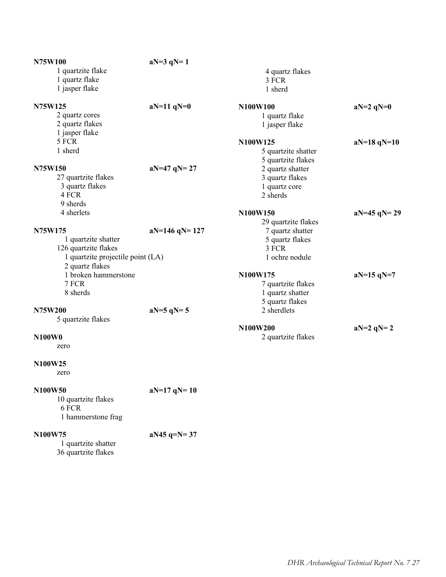| N75W100                           | $aN=3 qN=1$     |                           |               |
|-----------------------------------|-----------------|---------------------------|---------------|
| 1 quartzite flake                 |                 | 4 quartz flakes           |               |
| 1 quartz flake                    |                 | 3 FCR                     |               |
| 1 jasper flake                    |                 | 1 sherd                   |               |
| N75W125                           | $aN=11$ $qN=0$  | N100W100                  | $aN=2 qN=0$   |
| 2 quartz cores                    |                 | 1 quartz flake            |               |
| 2 quartz flakes                   |                 | 1 jasper flake            |               |
| 1 jasper flake                    |                 |                           |               |
| 5 FCR                             |                 | N100W125                  | $aN=18 qN=10$ |
| 1 sherd                           |                 | 5 quartzite shatter       |               |
|                                   |                 | 5 quartzite flakes        |               |
| N75W150                           | $aN=47 qN=27$   | 2 quartz shatter          |               |
| 27 quartzite flakes               |                 | 3 quartz flakes           |               |
| 3 quartz flakes<br>4 FCR          |                 | 1 quartz core<br>2 sherds |               |
| 9 sherds                          |                 |                           |               |
| 4 sherlets                        |                 | N100W150                  | $aN=45 qN=29$ |
|                                   |                 | 29 quartzite flakes       |               |
| N75W175                           | $aN=146 qN=127$ | 7 quartz shatter          |               |
| 1 quartzite shatter               |                 | 5 quartz flakes           |               |
| 126 quartzite flakes              |                 | 3 FCR                     |               |
| 1 quartzite projectile point (LA) |                 | 1 ochre nodule            |               |
| 2 quartz flakes                   |                 |                           |               |
| 1 broken hammerstone              |                 | N100W175                  | $aN=15 qN=7$  |
| 7 FCR                             |                 | 7 quartzite flakes        |               |
| 8 sherds                          |                 | 1 quartz shatter          |               |
|                                   |                 | 5 quartz flakes           |               |
| N75W200                           | $aN=5 qN=5$     | 2 sherdlets               |               |
| 5 quartzite flakes                |                 |                           |               |
|                                   |                 | N100W200                  | $aN=2 qN=2$   |
| N100W0                            |                 | 2 quartzite flakes        |               |
| zero                              |                 |                           |               |
| N100W25                           |                 |                           |               |
| zero                              |                 |                           |               |
| N100W50                           | $aN=17 qN=10$   |                           |               |
| 10 quartzite flakes               |                 |                           |               |
| 6 FCR                             |                 |                           |               |
| 1 hammerstone frag                |                 |                           |               |
|                                   |                 |                           |               |
| N100W75                           | $aN45 q=N=37$   |                           |               |

| UU VV 73            |  |
|---------------------|--|
| 1 quartzite shatter |  |
| 36 quartzite flakes |  |
|                     |  |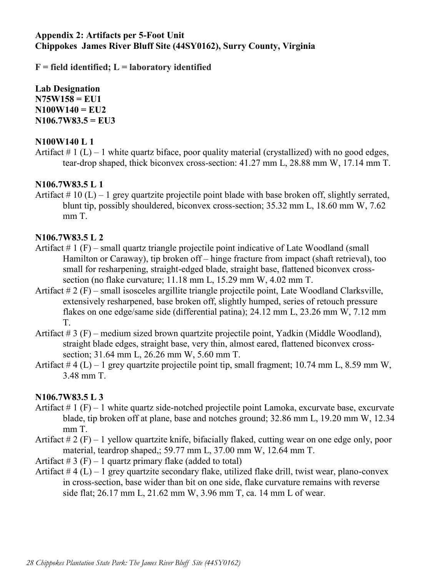## **Appendix 2: Artifacts per 5-Foot Unit Chippokes James River Bluff Site (44SY0162), Surry County, Virginia**

**F = field identified; L = laboratory identified**

**Lab Designation N75W158 = EU1 N100W140 = EU2 N106.7W83.5 = EU3**

## **N100W140 L 1**

Artifact  $\# 1$  (L) – 1 white quartz biface, poor quality material (crystallized) with no good edges, tear-drop shaped, thick biconvex cross-section: 41.27 mm L, 28.88 mm W, 17.14 mm T.

## **N106.7W83.5 L 1**

Artifact  $\# 10$  (L) – 1 grey quartzite projectile point blade with base broken off, slightly serrated, blunt tip, possibly shouldered, biconvex cross-section; 35.32 mm L, 18.60 mm W, 7.62 mm T.

## **N106.7W83.5 L 2**

- Artifact # 1 (F) small quartz triangle projectile point indicative of Late Woodland (small Hamilton or Caraway), tip broken off – hinge fracture from impact (shaft retrieval), too small for resharpening, straight-edged blade, straight base, flattened biconvex crosssection (no flake curvature; 11.18 mm L, 15.29 mm W, 4.02 mm T.
- Artifact # 2 (F) small isosceles argillite triangle projectile point, Late Woodland Clarksville, extensively resharpened, base broken off, slightly humped, series of retouch pressure flakes on one edge/same side (differential patina); 24.12 mm L, 23.26 mm W, 7.12 mm T.
- Artifact # 3 (F) medium sized brown quartzite projectile point, Yadkin (Middle Woodland), straight blade edges, straight base, very thin, almost eared, flattened biconvex crosssection; 31.64 mm L, 26.26 mm W, 5.60 mm T.
- Artifact  $\# 4$  (L) 1 grey quartzite projectile point tip, small fragment; 10.74 mm L, 8.59 mm W, 3.48 mm T.

## **N106.7W83.5 L 3**

- Artifact  $\# 1$  (F) 1 white quartz side-notched projectile point Lamoka, excurvate base, excurvate blade, tip broken off at plane, base and notches ground; 32.86 mm L, 19.20 mm W, 12.34 mm T.
- Artifact  $\# 2$  (F) 1 yellow quartzite knife, bifacially flaked, cutting wear on one edge only, poor material, teardrop shaped,; 59.77 mm L, 37.00 mm W, 12.64 mm T.
- Artifact  $\# 3$  (F) 1 quartz primary flake (added to total)
- Artifact  $# 4 (L) 1$  grey quartzite secondary flake, utilized flake drill, twist wear, plano-convex in cross-section, base wider than bit on one side, flake curvature remains with reverse side flat; 26.17 mm L, 21.62 mm W, 3.96 mm T, ca. 14 mm L of wear.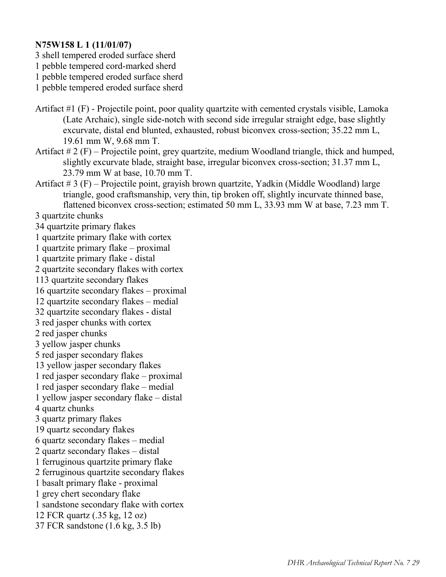## **N75W158 L 1 (11/01/07)**

3 shell tempered eroded surface sherd

1 pebble tempered cord-marked sherd

1 pebble tempered eroded surface sherd

1 pebble tempered eroded surface sherd

- Artifact #1 (F) Projectile point, poor quality quartzite with cemented crystals visible, Lamoka (Late Archaic), single side-notch with second side irregular straight edge, base slightly excurvate, distal end blunted, exhausted, robust biconvex cross-section; 35.22 mm L, 19.61 mm W, 9.68 mm T.
- Artifact  $# 2(F)$  Projectile point, grey quartzite, medium Woodland triangle, thick and humped, slightly excurvate blade, straight base, irregular biconvex cross-section; 31.37 mm L, 23.79 mm W at base, 10.70 mm T.
- Artifact # 3 (F) Projectile point, grayish brown quartzite, Yadkin (Middle Woodland) large triangle, good craftsmanship, very thin, tip broken off, slightly incurvate thinned base, flattened biconvex cross-section; estimated 50 mm L, 33.93 mm W at base, 7.23 mm T.

3 quartzite chunks

34 quartzite primary flakes 1 quartzite primary flake with cortex 1 quartzite primary flake – proximal 1 quartzite primary flake - distal 2 quartzite secondary flakes with cortex 113 quartzite secondary flakes 16 quartzite secondary flakes – proximal 12 quartzite secondary flakes – medial 32 quartzite secondary flakes - distal 3 red jasper chunks with cortex 2 red jasper chunks 3 yellow jasper chunks 5 red jasper secondary flakes 13 yellow jasper secondary flakes 1 red jasper secondary flake – proximal 1 red jasper secondary flake – medial 1 yellow jasper secondary flake – distal 4 quartz chunks 3 quartz primary flakes 19 quartz secondary flakes 6 quartz secondary flakes – medial 2 quartz secondary flakes – distal 1 ferruginous quartzite primary flake 2 ferruginous quartzite secondary flakes 1 basalt primary flake - proximal 1 grey chert secondary flake 1 sandstone secondary flake with cortex 12 FCR quartz (.35 kg, 12 oz) 37 FCR sandstone (1.6 kg, 3.5 lb)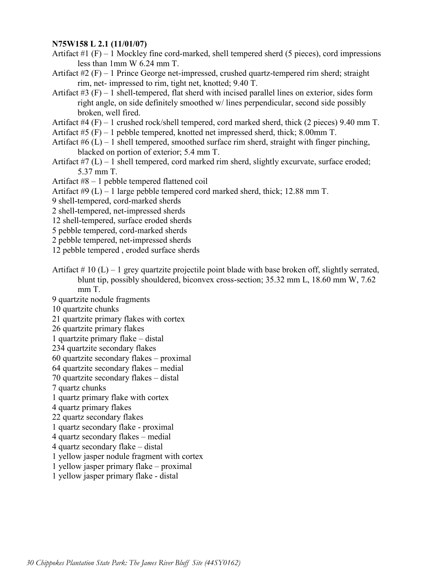#### **N75W158 L 2.1 (11/01/07)**

Artifact  $#1$  (F) – 1 Mockley fine cord-marked, shell tempered sherd (5 pieces), cord impressions less than 1mm W 6.24 mm T.

Artifact  $#2$  (F) – 1 Prince George net-impressed, crushed quartz-tempered rim sherd; straight rim, net- impressed to rim, tight net, knotted; 9.40 T.

- Artifact  $#3$  (F) 1 shell-tempered, flat sherd with incised parallel lines on exterior, sides form right angle, on side definitely smoothed w/ lines perpendicular, second side possibly broken, well fired.
- Artifact  $#4$  (F) 1 crushed rock/shell tempered, cord marked sherd, thick (2 pieces) 9.40 mm T.

Artifact #5 (F) – 1 pebble tempered, knotted net impressed sherd, thick; 8.00mm T.

- Artifact  $#6$  (L) 1 shell tempered, smoothed surface rim sherd, straight with finger pinching, blacked on portion of exterior; 5.4 mm T.
- Artifact  $#7(L) 1$  shell tempered, cord marked rim sherd, slightly excurvate, surface eroded; 5.37 mm T.
- Artifact #8 1 pebble tempered flattened coil
- Artifact #9 (L) 1 large pebble tempered cord marked sherd, thick; 12.88 mm T.
- 9 shell-tempered, cord-marked sherds
- 2 shell-tempered, net-impressed sherds
- 12 shell-tempered, surface eroded sherds
- 5 pebble tempered, cord-marked sherds
- 2 pebble tempered, net-impressed sherds
- 12 pebble tempered , eroded surface sherds
- Artifact  $\# 10$  (L) 1 grey quartzite projectile point blade with base broken off, slightly serrated, blunt tip, possibly shouldered, biconvex cross-section; 35.32 mm L, 18.60 mm W, 7.62 mm T.
- 9 quartzite nodule fragments
- 10 quartzite chunks
- 21 quartzite primary flakes with cortex
- 26 quartzite primary flakes
- 1 quartzite primary flake distal
- 234 quartzite secondary flakes
- 60 quartzite secondary flakes proximal
- 64 quartzite secondary flakes medial
- 70 quartzite secondary flakes distal
- 7 quartz chunks
- 1 quartz primary flake with cortex
- 4 quartz primary flakes
- 22 quartz secondary flakes
- 1 quartz secondary flake proximal
- 4 quartz secondary flakes medial
- 4 quartz secondary flake distal
- 1 yellow jasper nodule fragment with cortex
- 1 yellow jasper primary flake proximal
- 1 yellow jasper primary flake distal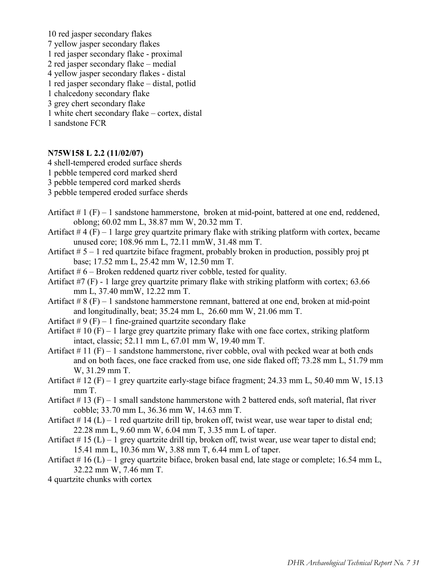10 red jasper secondary flakes 7 yellow jasper secondary flakes 1 red jasper secondary flake - proximal 2 red jasper secondary flake – medial 4 yellow jasper secondary flakes - distal 1 red jasper secondary flake – distal, potlid 1 chalcedony secondary flake 3 grey chert secondary flake 1 white chert secondary flake – cortex, distal 1 sandstone FCR

#### **N75W158 L 2.2 (11/02/07)**

4 shell-tempered eroded surface sherds

- 1 pebble tempered cord marked sherd
- 3 pebble tempered cord marked sherds
- 3 pebble tempered eroded surface sherds
- Artifact  $# 1 (F) 1$  sandstone hammerstone, broken at mid-point, battered at one end, reddened, oblong; 60.02 mm L, 38.87 mm W, 20.32 mm T.
- Artifact  $# 4 (F) 1$  large grey quartzite primary flake with striking platform with cortex, became unused core; 108.96 mm L, 72.11 mmW, 31.48 mm T.
- Artifact  $# 5 1$  red quartzite biface fragment, probably broken in production, possibly proj pt base; 17.52 mm L, 25.42 mm W, 12.50 mm T.
- Artifact  $# 6$  Broken reddened quartz river cobble, tested for quality.
- Artifact  $\#7$  (F) 1 large grey quartzite primary flake with striking platform with cortex; 63.66 mm L, 37.40 mmW, 12.22 mm T.
- Artifact  $# 8(F) 1$  sandstone hammerstone remnant, battered at one end, broken at mid-point and longitudinally, beat; 35.24 mm L, 26.60 mm W, 21.06 mm T.
- Artifact  $\#9$  (F) 1 fine-grained quartzite secondary flake

Artifact  $\# 10$  (F) – 1 large grey quartzite primary flake with one face cortex, striking platform intact, classic; 52.11 mm L, 67.01 mm W, 19.40 mm T.

- Artifact  $\# 11$  (F) 1 sandstone hammerstone, river cobble, oval with pecked wear at both ends and on both faces, one face cracked from use, one side flaked off; 73.28 mm L, 51.79 mm W, 31.29 mm T.
- Artifact # 12 (F) 1 grey quartzite early-stage biface fragment; 24.33 mm L, 50.40 mm W, 15.13 mm T.
- Artifact  $\#$  13 (F) 1 small sandstone hammerstone with 2 battered ends, soft material, flat river cobble; 33.70 mm L, 36.36 mm W, 14.63 mm T.
- Artifact  $\# 14$  (L) 1 red quartzite drill tip, broken off, twist wear, use wear taper to distal end; 22.28 mm L, 9.60 mm W, 6.04 mm T, 3.35 mm L of taper.
- Artifact  $\#$  15 (L) 1 grey quartzite drill tip, broken off, twist wear, use wear taper to distal end; 15.41 mm L, 10.36 mm W, 3.88 mm T, 6.44 mm L of taper.
- Artifact  $\# 16$  (L) 1 grey quartzite biface, broken basal end, late stage or complete; 16.54 mm L, 32.22 mm W, 7.46 mm T.
- 4 quartzite chunks with cortex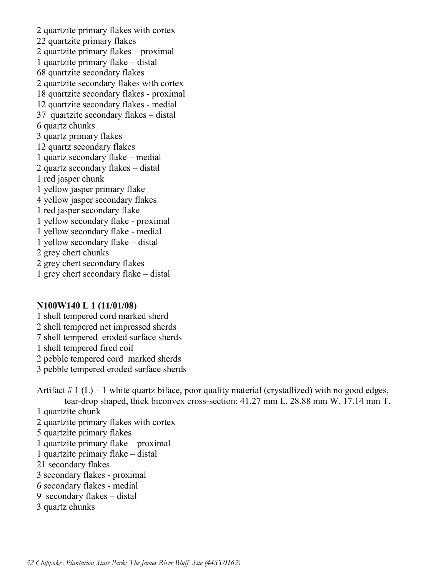2 quartzite primary flakes with cortex 22 quartzite primary flakes 2 quartzite primary flakes – proximal 1 quartzite primary flake – distal 68 quartzite secondary flakes 2 quartzite secondary flakes with cortex 18 quartzite secondary flakes - proximal 12 quartzite secondary flakes - medial 37 quartzite secondary flakes – distal 6 quartz chunks 3 quartz primary flakes 12 quartz secondary flakes 1 quartz secondary flake – medial 2 quartz secondary flakes – distal 1 red jasper chunk 1 yellow jasper primary flake 4 yellow jasper secondary flakes 1 red jasper secondary flake 1 yellow secondary flake - proximal 1 yellow secondary flake - medial 1 yellow secondary flake – distal 2 grey chert chunks 2 grey chert secondary flakes 1 grey chert secondary flake – distal

#### **N100W140 L 1 (11/01/08)**

1 shell tempered cord marked sherd 2 shell tempered net impressed sherds 7 shell tempered eroded surface sherds 1 shell tempered fired coil

2 pebble tempered cord marked sherds

3 pebble tempered eroded surface sherds

Artifact  $\# 1$  (L) – 1 white quartz biface, poor quality material (crystallized) with no good edges, tear-drop shaped, thick biconvex cross-section: 41.27 mm L, 28.88 mm W, 17.14 mm T.

1 quartzite chunk

2 quartzite primary flakes with cortex

- 5 quartzite primary flakes
- 1 quartzite primary flake proximal
- 1 quartzite primary flake distal
- 21 secondary flakes
- 3 secondary flakes proximal
- 6 secondary flakes medial
- 9 secondary flakes distal
- 3 quartz chunks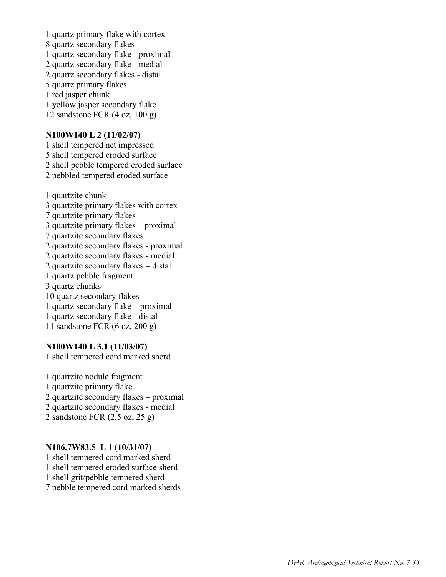1 quartz primary flake with cortex 8 quartz secondary flakes 1 quartz secondary flake - proximal 2 quartz secondary flake - medial 2 quartz secondary flakes - distal 5 quartz primary flakes 1 red jasper chunk 1 yellow jasper secondary flake 12 sandstone FCR (4 oz, 100 g)

#### **N100W140 L 2 (11/02/07)**

1 shell tempered net impressed 5 shell tempered eroded surface 2 shell pebble tempered eroded surface 2 pebbled tempered eroded surface

1 quartzite chunk 3 quartzite primary flakes with cortex 7 quartzite primary flakes 3 quartzite primary flakes – proximal 7 quartzite secondary flakes 2 quartzite secondary flakes - proximal 2 quartzite secondary flakes - medial 2 quartzite secondary flakes – distal 1 quartz pebble fragment 3 quartz chunks 10 quartz secondary flakes 1 quartz secondary flake – proximal 1 quartz secondary flake - distal 11 sandstone FCR (6 oz, 200 g)

#### **N100W140 L 3.1 (11/03/07)**

1 shell tempered cord marked sherd

1 quartzite nodule fragment 1 quartzite primary flake 2 quartzite secondary flakes – proximal 2 quartzite secondary flakes - medial 2 sandstone FCR (2.5 oz, 25 g)

#### **N106.7W83.5 L 1 (10/31/07)**

1 shell tempered cord marked sherd 1 shell tempered eroded surface sherd 1 shell grit/pebble tempered sherd 7 pebble tempered cord marked sherds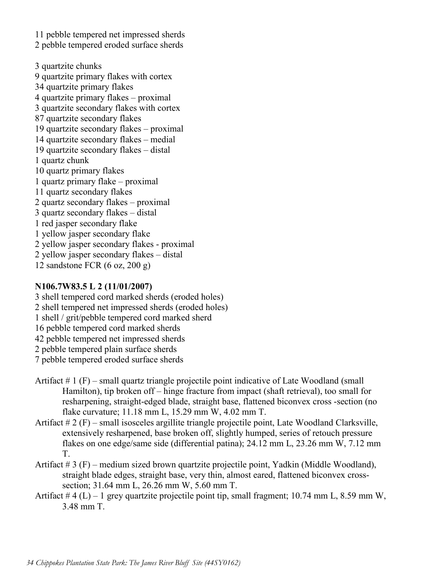11 pebble tempered net impressed sherds 2 pebble tempered eroded surface sherds

3 quartzite chunks 9 quartzite primary flakes with cortex 34 quartzite primary flakes 4 quartzite primary flakes – proximal 3 quartzite secondary flakes with cortex 87 quartzite secondary flakes 19 quartzite secondary flakes – proximal 14 quartzite secondary flakes – medial 19 quartzite secondary flakes – distal 1 quartz chunk 10 quartz primary flakes 1 quartz primary flake – proximal 11 quartz secondary flakes 2 quartz secondary flakes – proximal 3 quartz secondary flakes – distal 1 red jasper secondary flake 1 yellow jasper secondary flake 2 yellow jasper secondary flakes - proximal 2 yellow jasper secondary flakes – distal 12 sandstone FCR (6 oz, 200 g)

## **N106.7W83.5 L 2 (11/01/2007)**

- 3 shell tempered cord marked sherds (eroded holes) 2 shell tempered net impressed sherds (eroded holes) 1 shell / grit/pebble tempered cord marked sherd 16 pebble tempered cord marked sherds 42 pebble tempered net impressed sherds 2 pebble tempered plain surface sherds 7 pebble tempered eroded surface sherds
- Artifact # 1 (F) small quartz triangle projectile point indicative of Late Woodland (small Hamilton), tip broken off – hinge fracture from impact (shaft retrieval), too small for resharpening, straight-edged blade, straight base, flattened biconvex cross -section (no flake curvature; 11.18 mm L, 15.29 mm W, 4.02 mm T.
- Artifact # 2 (F) small isosceles argillite triangle projectile point, Late Woodland Clarksville, extensively resharpened, base broken off, slightly humped, series of retouch pressure flakes on one edge/same side (differential patina); 24.12 mm L, 23.26 mm W, 7.12 mm T.
- Artifact # 3 (F) medium sized brown quartzite projectile point, Yadkin (Middle Woodland), straight blade edges, straight base, very thin, almost eared, flattened biconvex crosssection; 31.64 mm L, 26.26 mm W, 5.60 mm T.
- Artifact  $\# 4$  (L) 1 grey quartzite projectile point tip, small fragment; 10.74 mm L, 8.59 mm W, 3.48 mm T.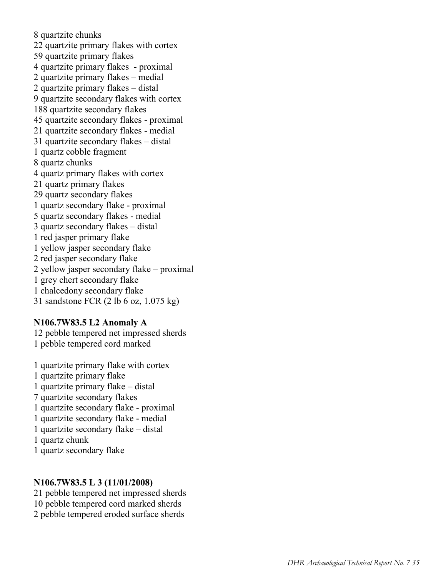8 quartzite chunks 22 quartzite primary flakes with cortex 59 quartzite primary flakes 4 quartzite primary flakes - proximal 2 quartzite primary flakes – medial 2 quartzite primary flakes – distal 9 quartzite secondary flakes with cortex 188 quartzite secondary flakes 45 quartzite secondary flakes - proximal 21 quartzite secondary flakes - medial 31 quartzite secondary flakes – distal 1 quartz cobble fragment 8 quartz chunks 4 quartz primary flakes with cortex 21 quartz primary flakes 29 quartz secondary flakes 1 quartz secondary flake - proximal 5 quartz secondary flakes - medial 3 quartz secondary flakes – distal 1 red jasper primary flake 1 yellow jasper secondary flake 2 red jasper secondary flake 2 yellow jasper secondary flake – proximal 1 grey chert secondary flake 1 chalcedony secondary flake 31 sandstone FCR (2 lb 6 oz, 1.075 kg)

#### **N106.7W83.5 L2 Anomaly A**

12 pebble tempered net impressed sherds 1 pebble tempered cord marked

1 quartzite primary flake with cortex 1 quartzite primary flake 1 quartzite primary flake – distal 7 quartzite secondary flakes 1 quartzite secondary flake - proximal 1 quartzite secondary flake - medial 1 quartzite secondary flake – distal 1 quartz chunk 1 quartz secondary flake

#### **N106.7W83.5 L 3 (11/01/2008)**

- 21 pebble tempered net impressed sherds 10 pebble tempered cord marked sherds
- 2 pebble tempered eroded surface sherds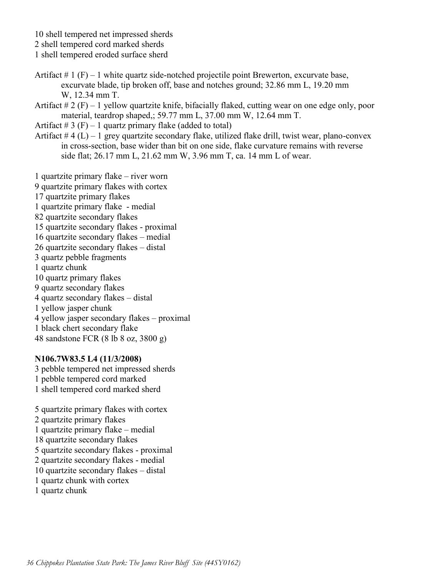10 shell tempered net impressed sherds

2 shell tempered cord marked sherds

1 shell tempered eroded surface sherd

- Artifact  $# 1$  (F) 1 white quartz side-notched projectile point Brewerton, excurvate base, excurvate blade, tip broken off, base and notches ground; 32.86 mm L, 19.20 mm W, 12.34 mm T.
- Artifact  $\# 2(F) 1$  yellow quartzite knife, bifacially flaked, cutting wear on one edge only, poor material, teardrop shaped,; 59.77 mm L, 37.00 mm W, 12.64 mm T.

Artifact  $\# 3$  (F) – 1 quartz primary flake (added to total)

Artifact  $# 4 (L) - 1$  grey quartzite secondary flake, utilized flake drill, twist wear, plano-convex in cross-section, base wider than bit on one side, flake curvature remains with reverse side flat; 26.17 mm L, 21.62 mm W, 3.96 mm T, ca. 14 mm L of wear.

1 quartzite primary flake – river worn

9 quartzite primary flakes with cortex

17 quartzite primary flakes

1 quartzite primary flake - medial

- 82 quartzite secondary flakes
- 15 quartzite secondary flakes proximal
- 16 quartzite secondary flakes medial
- 26 quartzite secondary flakes distal
- 3 quartz pebble fragments
- 1 quartz chunk
- 10 quartz primary flakes
- 9 quartz secondary flakes
- 4 quartz secondary flakes distal
- 1 yellow jasper chunk
- 4 yellow jasper secondary flakes proximal
- 1 black chert secondary flake
- 48 sandstone FCR (8 lb 8 oz, 3800 g)

#### **N106.7W83.5 L4 (11/3/2008)**

3 pebble tempered net impressed sherds 1 pebble tempered cord marked 1 shell tempered cord marked sherd

5 quartzite primary flakes with cortex 2 quartzite primary flakes 1 quartzite primary flake – medial 18 quartzite secondary flakes 5 quartzite secondary flakes - proximal 2 quartzite secondary flakes - medial 10 quartzite secondary flakes – distal 1 quartz chunk with cortex 1 quartz chunk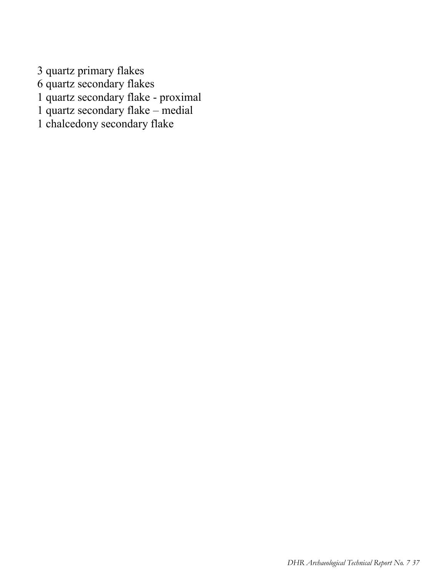3 quartz primary flakes 6 quartz secondary flakes 1 quartz secondary flake - proximal 1 quartz secondary flake – medial 1 chalcedony secondary flake